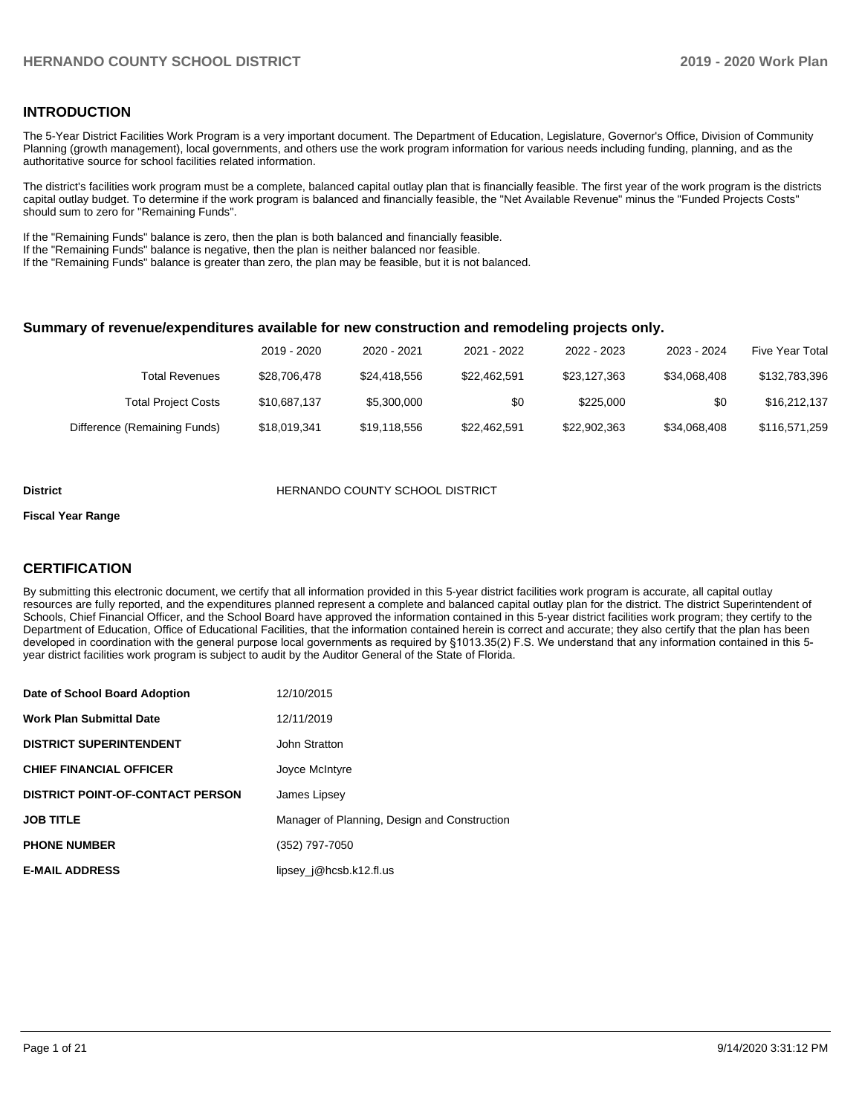### **INTRODUCTION**

The 5-Year District Facilities Work Program is a very important document. The Department of Education, Legislature, Governor's Office, Division of Community Planning (growth management), local governments, and others use the work program information for various needs including funding, planning, and as the authoritative source for school facilities related information.

The district's facilities work program must be a complete, balanced capital outlay plan that is financially feasible. The first year of the work program is the districts capital outlay budget. To determine if the work program is balanced and financially feasible, the "Net Available Revenue" minus the "Funded Projects Costs" should sum to zero for "Remaining Funds".

If the "Remaining Funds" balance is zero, then the plan is both balanced and financially feasible.

If the "Remaining Funds" balance is negative, then the plan is neither balanced nor feasible.

If the "Remaining Funds" balance is greater than zero, the plan may be feasible, but it is not balanced.

#### **Summary of revenue/expenditures available for new construction and remodeling projects only.**

| Five Year Total | 2023 - 2024  | 2022 - 2023  | 2021 - 2022  | 2020 - 2021  | 2019 - 2020  |                              |
|-----------------|--------------|--------------|--------------|--------------|--------------|------------------------------|
| \$132,783,396   | \$34.068.408 | \$23,127,363 | \$22.462.591 | \$24,418,556 | \$28,706,478 | <b>Total Revenues</b>        |
| \$16,212,137    | \$0          | \$225,000    | \$0          | \$5,300,000  | \$10,687,137 | <b>Total Project Costs</b>   |
| \$116,571,259   | \$34,068,408 | \$22,902,363 | \$22,462,591 | \$19,118,556 | \$18,019,341 | Difference (Remaining Funds) |

#### **District COUNTY SCHOOL DISTRICT**

#### **Fiscal Year Range**

### **CERTIFICATION**

By submitting this electronic document, we certify that all information provided in this 5-year district facilities work program is accurate, all capital outlay resources are fully reported, and the expenditures planned represent a complete and balanced capital outlay plan for the district. The district Superintendent of Schools, Chief Financial Officer, and the School Board have approved the information contained in this 5-year district facilities work program; they certify to the Department of Education, Office of Educational Facilities, that the information contained herein is correct and accurate; they also certify that the plan has been developed in coordination with the general purpose local governments as required by §1013.35(2) F.S. We understand that any information contained in this 5 year district facilities work program is subject to audit by the Auditor General of the State of Florida.

| Date of School Board Adoption           | 12/10/2015                                   |
|-----------------------------------------|----------------------------------------------|
| <b>Work Plan Submittal Date</b>         | 12/11/2019                                   |
| <b>DISTRICT SUPERINTENDENT</b>          | John Stratton                                |
| <b>CHIEF FINANCIAL OFFICER</b>          | Joyce McIntyre                               |
| <b>DISTRICT POINT-OF-CONTACT PERSON</b> | James Lipsey                                 |
| <b>JOB TITLE</b>                        | Manager of Planning, Design and Construction |
| <b>PHONE NUMBER</b>                     | (352) 797-7050                               |
| <b>E-MAIL ADDRESS</b>                   | lipsey $j@$ hcsb.k12.fl.us                   |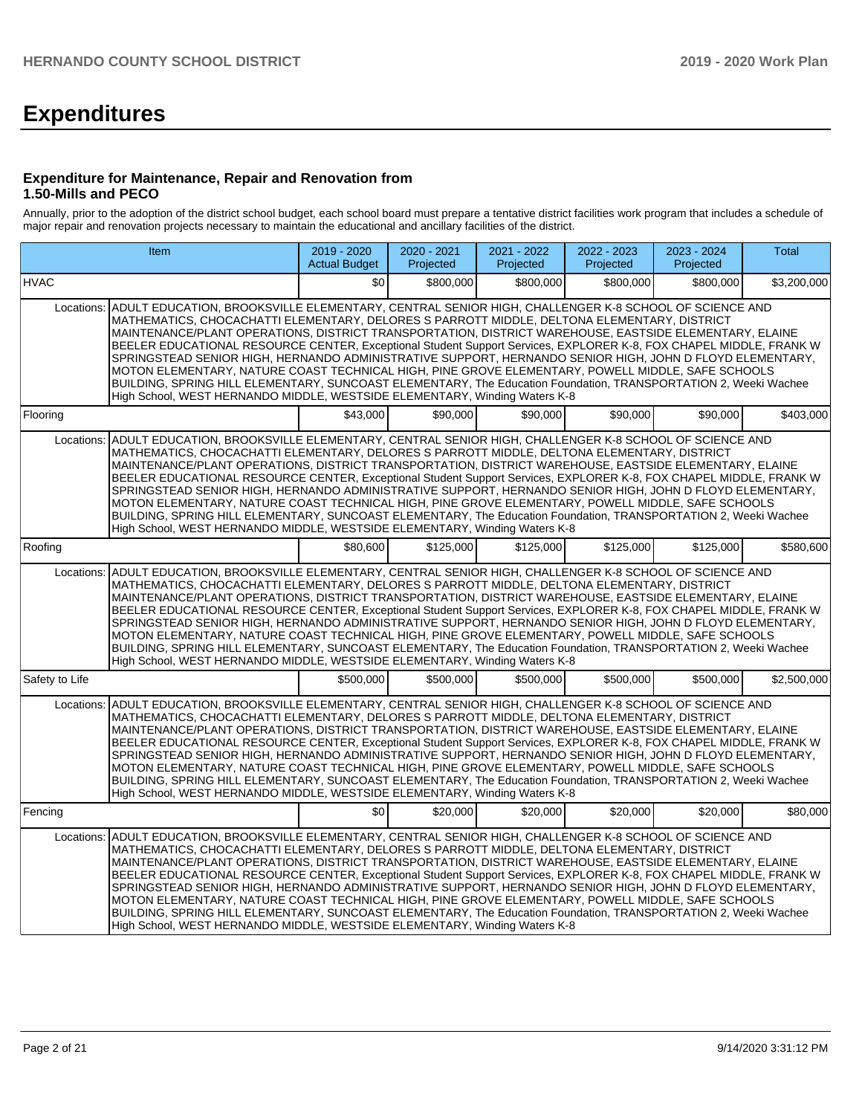# **Expenditures**

### **Expenditure for Maintenance, Repair and Renovation from 1.50-Mills and PECO**

Annually, prior to the adoption of the district school budget, each school board must prepare a tentative district facilities work program that includes a schedule of major repair and renovation projects necessary to maintain the educational and ancillary facilities of the district.

| Item                                                                                                                                                                                                                                                                                                                                                                                                                                                                                                                                                                                                                                                                                                                                                                                                                                                              | 2019 - 2020<br><b>Actual Budget</b> | 2020 - 2021<br>Projected | 2021 - 2022<br>Projected | 2022 - 2023<br>Projected | 2023 - 2024<br>Projected | <b>Total</b> |  |  |  |  |  |
|-------------------------------------------------------------------------------------------------------------------------------------------------------------------------------------------------------------------------------------------------------------------------------------------------------------------------------------------------------------------------------------------------------------------------------------------------------------------------------------------------------------------------------------------------------------------------------------------------------------------------------------------------------------------------------------------------------------------------------------------------------------------------------------------------------------------------------------------------------------------|-------------------------------------|--------------------------|--------------------------|--------------------------|--------------------------|--------------|--|--|--|--|--|
| <b>HVAC</b>                                                                                                                                                                                                                                                                                                                                                                                                                                                                                                                                                                                                                                                                                                                                                                                                                                                       | \$0                                 | \$800,000                | \$800,000                | \$800,000                | \$800,000                | \$3,200,000  |  |  |  |  |  |
| ADULT EDUCATION, BROOKSVILLE ELEMENTARY, CENTRAL SENIOR HIGH, CHALLENGER K-8 SCHOOL OF SCIENCE AND<br>Locations:<br>MATHEMATICS, CHOCACHATTI ELEMENTARY, DELORES S PARROTT MIDDLE, DELTONA ELEMENTARY, DISTRICT<br>MAINTENANCE/PLANT OPERATIONS, DISTRICT TRANSPORTATION, DISTRICT WAREHOUSE, EASTSIDE ELEMENTARY, ELAINE<br>BEELER EDUCATIONAL RESOURCE CENTER, Exceptional Student Support Services, EXPLORER K-8, FOX CHAPEL MIDDLE, FRANK W<br>SPRINGSTEAD SENIOR HIGH, HERNANDO ADMINISTRATIVE SUPPORT, HERNANDO SENIOR HIGH, JOHN D FLOYD ELEMENTARY,<br>MOTON ELEMENTARY, NATURE COAST TECHNICAL HIGH, PINE GROVE ELEMENTARY, POWELL MIDDLE, SAFE SCHOOLS<br>BUILDING, SPRING HILL ELEMENTARY, SUNCOAST ELEMENTARY, The Education Foundation, TRANSPORTATION 2, Weeki Wachee<br>High School, WEST HERNANDO MIDDLE, WESTSIDE ELEMENTARY, Winding Waters K-8 |                                     |                          |                          |                          |                          |              |  |  |  |  |  |
| Flooring                                                                                                                                                                                                                                                                                                                                                                                                                                                                                                                                                                                                                                                                                                                                                                                                                                                          | \$43.000                            | \$90.000                 | \$90,000                 | \$90,000                 | \$90,000                 | \$403,000    |  |  |  |  |  |
| ADULT EDUCATION, BROOKSVILLE ELEMENTARY, CENTRAL SENIOR HIGH, CHALLENGER K-8 SCHOOL OF SCIENCE AND<br>Locations:<br>MATHEMATICS, CHOCACHATTI ELEMENTARY, DELORES S PARROTT MIDDLE, DELTONA ELEMENTARY, DISTRICT<br>MAINTENANCE/PLANT OPERATIONS, DISTRICT TRANSPORTATION, DISTRICT WAREHOUSE, EASTSIDE ELEMENTARY, ELAINE<br>BEELER EDUCATIONAL RESOURCE CENTER, Exceptional Student Support Services, EXPLORER K-8, FOX CHAPEL MIDDLE, FRANK W<br>SPRINGSTEAD SENIOR HIGH, HERNANDO ADMINISTRATIVE SUPPORT, HERNANDO SENIOR HIGH, JOHN D FLOYD ELEMENTARY,<br>MOTON ELEMENTARY, NATURE COAST TECHNICAL HIGH, PINE GROVE ELEMENTARY, POWELL MIDDLE, SAFE SCHOOLS<br>BUILDING, SPRING HILL ELEMENTARY, SUNCOAST ELEMENTARY, The Education Foundation, TRANSPORTATION 2, Weeki Wachee<br>High School, WEST HERNANDO MIDDLE, WESTSIDE ELEMENTARY, Winding Waters K-8 |                                     |                          |                          |                          |                          |              |  |  |  |  |  |
| Roofing                                                                                                                                                                                                                                                                                                                                                                                                                                                                                                                                                                                                                                                                                                                                                                                                                                                           | \$80,600                            | \$125.000                | \$125,000                | \$125,000                | \$125,000                | \$580,600    |  |  |  |  |  |
| ADULT EDUCATION, BROOKSVILLE ELEMENTARY, CENTRAL SENIOR HIGH, CHALLENGER K-8 SCHOOL OF SCIENCE AND<br>Locations:<br>MATHEMATICS, CHOCACHATTI ELEMENTARY, DELORES S PARROTT MIDDLE, DELTONA ELEMENTARY, DISTRICT<br>MAINTENANCE/PLANT OPERATIONS, DISTRICT TRANSPORTATION, DISTRICT WAREHOUSE, EASTSIDE ELEMENTARY, ELAINE<br>BEELER EDUCATIONAL RESOURCE CENTER, Exceptional Student Support Services, EXPLORER K-8, FOX CHAPEL MIDDLE, FRANK W<br>SPRINGSTEAD SENIOR HIGH, HERNANDO ADMINISTRATIVE SUPPORT, HERNANDO SENIOR HIGH, JOHN D FLOYD ELEMENTARY,<br>MOTON ELEMENTARY, NATURE COAST TECHNICAL HIGH, PINE GROVE ELEMENTARY, POWELL MIDDLE, SAFE SCHOOLS<br>BUILDING, SPRING HILL ELEMENTARY, SUNCOAST ELEMENTARY, The Education Foundation, TRANSPORTATION 2, Weeki Wachee<br>High School, WEST HERNANDO MIDDLE, WESTSIDE ELEMENTARY, Winding Waters K-8 |                                     |                          |                          |                          |                          |              |  |  |  |  |  |
| Safety to Life                                                                                                                                                                                                                                                                                                                                                                                                                                                                                                                                                                                                                                                                                                                                                                                                                                                    | \$500,000                           | \$500.000                | \$500.000                | \$500.000                | \$500,000                | \$2,500,000  |  |  |  |  |  |
| ADULT EDUCATION, BROOKSVILLE ELEMENTARY, CENTRAL SENIOR HIGH, CHALLENGER K-8 SCHOOL OF SCIENCE AND<br>Locations:<br>MATHEMATICS, CHOCACHATTI ELEMENTARY, DELORES S PARROTT MIDDLE, DELTONA ELEMENTARY, DISTRICT<br>MAINTENANCE/PLANT OPERATIONS, DISTRICT TRANSPORTATION, DISTRICT WAREHOUSE, EASTSIDE ELEMENTARY, ELAINE<br>BEELER EDUCATIONAL RESOURCE CENTER, Exceptional Student Support Services, EXPLORER K-8, FOX CHAPEL MIDDLE, FRANK W<br>SPRINGSTEAD SENIOR HIGH. HERNANDO ADMINISTRATIVE SUPPORT. HERNANDO SENIOR HIGH. JOHN D FLOYD ELEMENTARY.<br>MOTON ELEMENTARY, NATURE COAST TECHNICAL HIGH, PINE GROVE ELEMENTARY, POWELL MIDDLE, SAFE SCHOOLS<br>BUILDING, SPRING HILL ELEMENTARY, SUNCOAST ELEMENTARY, The Education Foundation, TRANSPORTATION 2, Weeki Wachee<br>High School, WEST HERNANDO MIDDLE, WESTSIDE ELEMENTARY, Winding Waters K-8 |                                     |                          |                          |                          |                          |              |  |  |  |  |  |
| Fencing                                                                                                                                                                                                                                                                                                                                                                                                                                                                                                                                                                                                                                                                                                                                                                                                                                                           | \$0                                 | \$20,000                 | \$20,000                 | \$20.000                 | \$20,000                 | \$80,000     |  |  |  |  |  |
| ADULT EDUCATION, BROOKSVILLE ELEMENTARY, CENTRAL SENIOR HIGH, CHALLENGER K-8 SCHOOL OF SCIENCE AND<br>Locations:<br>MATHEMATICS, CHOCACHATTI ELEMENTARY, DELORES S PARROTT MIDDLE, DELTONA ELEMENTARY, DISTRICT<br>MAINTENANCE/PLANT OPERATIONS, DISTRICT TRANSPORTATION, DISTRICT WAREHOUSE, EASTSIDE ELEMENTARY, ELAINE<br>BEELER EDUCATIONAL RESOURCE CENTER, Exceptional Student Support Services, EXPLORER K-8, FOX CHAPEL MIDDLE, FRANK W<br>SPRINGSTEAD SENIOR HIGH, HERNANDO ADMINISTRATIVE SUPPORT, HERNANDO SENIOR HIGH, JOHN D FLOYD ELEMENTARY,<br>MOTON ELEMENTARY, NATURE COAST TECHNICAL HIGH, PINE GROVE ELEMENTARY, POWELL MIDDLE, SAFE SCHOOLS<br>BUILDING, SPRING HILL ELEMENTARY, SUNCOAST ELEMENTARY, The Education Foundation, TRANSPORTATION 2, Weeki Wachee<br>High School, WEST HERNANDO MIDDLE, WESTSIDE ELEMENTARY, Winding Waters K-8 |                                     |                          |                          |                          |                          |              |  |  |  |  |  |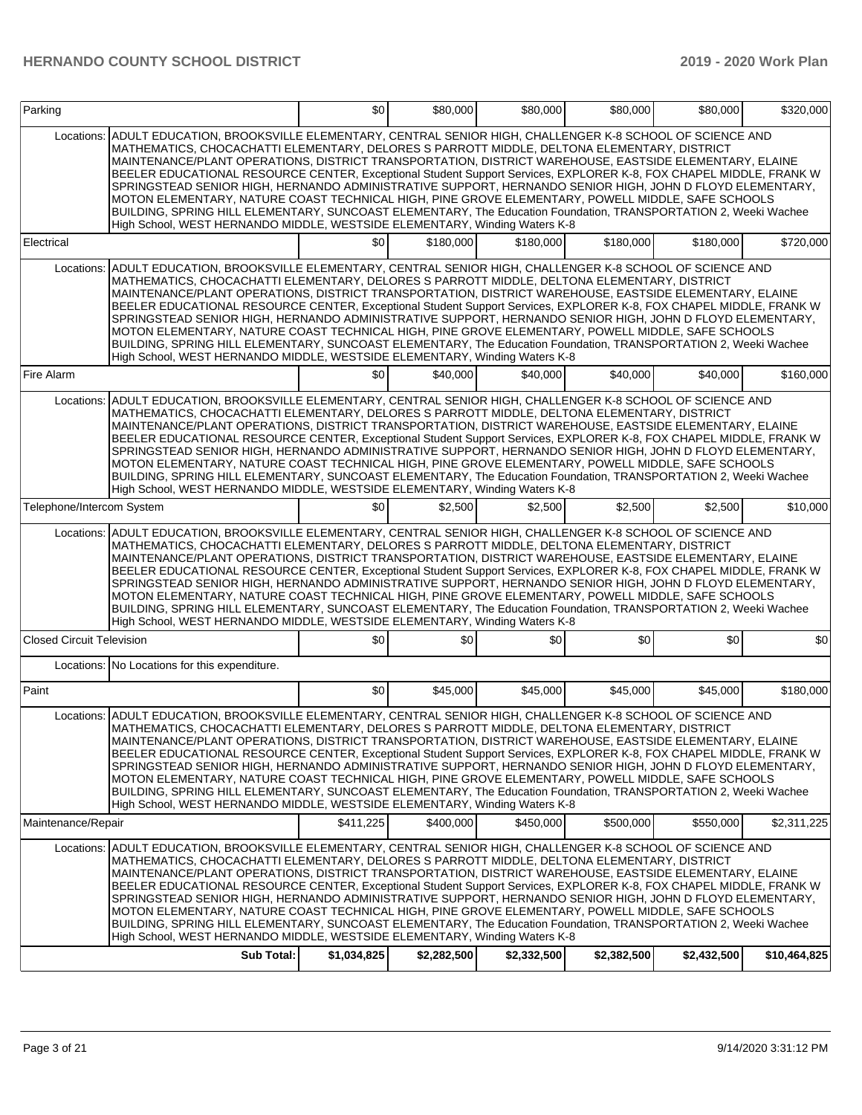| Parking                          |                                                                                                                                                                                                                                                                                                                                                                                                                                                                                                                                                                                                                                                                                                                                                                                                                                                                | \$0         | \$80,000    | \$80,000    | \$80,000    | \$80,000    | \$320,000    |
|----------------------------------|----------------------------------------------------------------------------------------------------------------------------------------------------------------------------------------------------------------------------------------------------------------------------------------------------------------------------------------------------------------------------------------------------------------------------------------------------------------------------------------------------------------------------------------------------------------------------------------------------------------------------------------------------------------------------------------------------------------------------------------------------------------------------------------------------------------------------------------------------------------|-------------|-------------|-------------|-------------|-------------|--------------|
| Locations:                       | ADULT EDUCATION, BROOKSVILLE ELEMENTARY, CENTRAL SENIOR HIGH, CHALLENGER K-8 SCHOOL OF SCIENCE AND<br>MATHEMATICS, CHOCACHATTI ELEMENTARY, DELORES S PARROTT MIDDLE, DELTONA ELEMENTARY, DISTRICT<br>MAINTENANCE/PLANT OPERATIONS, DISTRICT TRANSPORTATION, DISTRICT WAREHOUSE, EASTSIDE ELEMENTARY, ELAINE<br>BEELER EDUCATIONAL RESOURCE CENTER, Exceptional Student Support Services, EXPLORER K-8, FOX CHAPEL MIDDLE, FRANK W<br>SPRINGSTEAD SENIOR HIGH, HERNANDO ADMINISTRATIVE SUPPORT, HERNANDO SENIOR HIGH, JOHN D FLOYD ELEMENTARY,<br>MOTON ELEMENTARY, NATURE COAST TECHNICAL HIGH, PINE GROVE ELEMENTARY, POWELL MIDDLE, SAFE SCHOOLS<br>BUILDING, SPRING HILL ELEMENTARY, SUNCOAST ELEMENTARY, The Education Foundation, TRANSPORTATION 2, Weeki Wachee<br>High School, WEST HERNANDO MIDDLE, WESTSIDE ELEMENTARY, Winding Waters K-8            |             |             |             |             |             |              |
| Electrical                       |                                                                                                                                                                                                                                                                                                                                                                                                                                                                                                                                                                                                                                                                                                                                                                                                                                                                | \$0         | \$180,000   | \$180,000   | \$180,000   | \$180,000   | \$720,000    |
| Locations:                       | ADULT EDUCATION, BROOKSVILLE ELEMENTARY, CENTRAL SENIOR HIGH, CHALLENGER K-8 SCHOOL OF SCIENCE AND<br>MATHEMATICS, CHOCACHATTI ELEMENTARY, DELORES S PARROTT MIDDLE, DELTONA ELEMENTARY, DISTRICT<br>MAINTENANCE/PLANT OPERATIONS, DISTRICT TRANSPORTATION, DISTRICT WAREHOUSE, EASTSIDE ELEMENTARY, ELAINE<br>BEELER EDUCATIONAL RESOURCE CENTER, Exceptional Student Support Services, EXPLORER K-8, FOX CHAPEL MIDDLE, FRANK W<br>SPRINGSTEAD SENIOR HIGH, HERNANDO ADMINISTRATIVE SUPPORT, HERNANDO SENIOR HIGH, JOHN D FLOYD ELEMENTARY,<br>MOTON ELEMENTARY, NATURE COAST TECHNICAL HIGH, PINE GROVE ELEMENTARY, POWELL MIDDLE, SAFE SCHOOLS<br>BUILDING, SPRING HILL ELEMENTARY, SUNCOAST ELEMENTARY, The Education Foundation, TRANSPORTATION 2, Weeki Wachee<br>High School, WEST HERNANDO MIDDLE, WESTSIDE ELEMENTARY, Winding Waters K-8            |             |             |             |             |             |              |
| Fire Alarm                       |                                                                                                                                                                                                                                                                                                                                                                                                                                                                                                                                                                                                                                                                                                                                                                                                                                                                | \$0         | \$40,000    | \$40,000    | \$40,000    | \$40,000    | \$160,000    |
| Locations:                       | ADULT EDUCATION. BROOKSVILLE ELEMENTARY. CENTRAL SENIOR HIGH. CHALLENGER K-8 SCHOOL OF SCIENCE AND<br>MATHEMATICS, CHOCACHATTI ELEMENTARY, DELORES S PARROTT MIDDLE, DELTONA ELEMENTARY, DISTRICT<br>MAINTENANCE/PLANT OPERATIONS, DISTRICT TRANSPORTATION, DISTRICT WAREHOUSE, EASTSIDE ELEMENTARY, ELAINE<br>BEELER EDUCATIONAL RESOURCE CENTER, Exceptional Student Support Services, EXPLORER K-8, FOX CHAPEL MIDDLE, FRANK W<br>SPRINGSTEAD SENIOR HIGH, HERNANDO ADMINISTRATIVE SUPPORT, HERNANDO SENIOR HIGH, JOHN D FLOYD ELEMENTARY,<br>MOTON ELEMENTARY, NATURE COAST TECHNICAL HIGH, PINE GROVE ELEMENTARY, POWELL MIDDLE, SAFE SCHOOLS<br>BUILDING, SPRING HILL ELEMENTARY, SUNCOAST ELEMENTARY, The Education Foundation, TRANSPORTATION 2, Weeki Wachee<br>High School, WEST HERNANDO MIDDLE, WESTSIDE ELEMENTARY, Winding Waters K-8            |             |             |             |             |             |              |
| Telephone/Intercom System        |                                                                                                                                                                                                                                                                                                                                                                                                                                                                                                                                                                                                                                                                                                                                                                                                                                                                | \$0         | \$2,500     | \$2,500     | \$2,500     | \$2,500     | \$10,000     |
| Locations:                       | ADULT EDUCATION, BROOKSVILLE ELEMENTARY, CENTRAL SENIOR HIGH, CHALLENGER K-8 SCHOOL OF SCIENCE AND<br>MATHEMATICS, CHOCACHATTI ELEMENTARY, DELORES S PARROTT MIDDLE, DELTONA ELEMENTARY, DISTRICT<br>MAINTENANCE/PLANT OPERATIONS, DISTRICT TRANSPORTATION, DISTRICT WAREHOUSE, EASTSIDE ELEMENTARY, ELAINE<br>BEELER EDUCATIONAL RESOURCE CENTER, Exceptional Student Support Services, EXPLORER K-8, FOX CHAPEL MIDDLE, FRANK W<br>SPRINGSTEAD SENIOR HIGH, HERNANDO ADMINISTRATIVE SUPPORT, HERNANDO SENIOR HIGH, JOHN D FLOYD ELEMENTARY,<br>MOTON ELEMENTARY, NATURE COAST TECHNICAL HIGH, PINE GROVE ELEMENTARY, POWELL MIDDLE, SAFE SCHOOLS<br>BUILDING, SPRING HILL ELEMENTARY, SUNCOAST ELEMENTARY, The Education Foundation, TRANSPORTATION 2, Weeki Wachee<br>High School, WEST HERNANDO MIDDLE, WESTSIDE ELEMENTARY, Winding Waters K-8            |             |             |             |             |             |              |
| <b>Closed Circuit Television</b> |                                                                                                                                                                                                                                                                                                                                                                                                                                                                                                                                                                                                                                                                                                                                                                                                                                                                | \$0         | \$0         | \$0         | \$0         | \$0         | \$0          |
|                                  | Locations: No Locations for this expenditure.                                                                                                                                                                                                                                                                                                                                                                                                                                                                                                                                                                                                                                                                                                                                                                                                                  |             |             |             |             |             |              |
| Paint                            |                                                                                                                                                                                                                                                                                                                                                                                                                                                                                                                                                                                                                                                                                                                                                                                                                                                                | \$0         | \$45,000    | \$45,000    | \$45,000    | \$45,000    | \$180,000    |
|                                  | Locations: ADULT EDUCATION, BROOKSVILLE ELEMENTARY, CENTRAL SENIOR HIGH, CHALLENGER K-8 SCHOOL OF SCIENCE AND<br>MATHEMATICS, CHOCACHATTI ELEMENTARY, DELORES S PARROTT MIDDLE, DELTONA ELEMENTARY, DISTRICT<br>MAINTENANCE/PLANT OPERATIONS, DISTRICT TRANSPORTATION, DISTRICT WAREHOUSE, EASTSIDE ELEMENTARY, ELAINE<br>BEELER EDUCATIONAL RESOURCE CENTER, Exceptional Student Support Services, EXPLORER K-8, FOX CHAPEL MIDDLE, FRANK W<br>SPRINGSTEAD SENIOR HIGH, HERNANDO ADMINISTRATIVE SUPPORT, HERNANDO SENIOR HIGH, JOHN D FLOYD ELEMENTARY,<br>MOTON ELEMENTARY, NATURE COAST TECHNICAL HIGH, PINE GROVE ELEMENTARY, POWELL MIDDLE, SAFE SCHOOLS<br>BUILDING, SPRING HILL ELEMENTARY, SUNCOAST ELEMENTARY, The Education Foundation, TRANSPORTATION 2, Weeki Wachee<br>High School, WEST HERNANDO MIDDLE, WESTSIDE ELEMENTARY, Winding Waters K-8 |             |             |             |             |             |              |
| Maintenance/Repair               |                                                                                                                                                                                                                                                                                                                                                                                                                                                                                                                                                                                                                                                                                                                                                                                                                                                                | \$411,225   | \$400,000   | \$450,000   | \$500,000   | \$550,000   | \$2,311,225  |
|                                  | Locations: ADULT EDUCATION, BROOKSVILLE ELEMENTARY, CENTRAL SENIOR HIGH, CHALLENGER K-8 SCHOOL OF SCIENCE AND<br>MATHEMATICS, CHOCACHATTI ELEMENTARY, DELORES S PARROTT MIDDLE, DELTONA ELEMENTARY, DISTRICT<br>MAINTENANCE/PLANT OPERATIONS, DISTRICT TRANSPORTATION, DISTRICT WAREHOUSE, EASTSIDE ELEMENTARY, ELAINE<br>BEELER EDUCATIONAL RESOURCE CENTER, Exceptional Student Support Services, EXPLORER K-8, FOX CHAPEL MIDDLE, FRANK W<br>SPRINGSTEAD SENIOR HIGH, HERNANDO ADMINISTRATIVE SUPPORT, HERNANDO SENIOR HIGH, JOHN D FLOYD ELEMENTARY,<br>MOTON ELEMENTARY, NATURE COAST TECHNICAL HIGH, PINE GROVE ELEMENTARY, POWELL MIDDLE, SAFE SCHOOLS<br>BUILDING, SPRING HILL ELEMENTARY, SUNCOAST ELEMENTARY, The Education Foundation, TRANSPORTATION 2, Weeki Wachee<br>High School, WEST HERNANDO MIDDLE, WESTSIDE ELEMENTARY, Winding Waters K-8 |             |             |             |             |             |              |
|                                  | Sub Total:                                                                                                                                                                                                                                                                                                                                                                                                                                                                                                                                                                                                                                                                                                                                                                                                                                                     | \$1,034,825 | \$2,282,500 | \$2,332,500 | \$2,382,500 | \$2,432,500 | \$10,464,825 |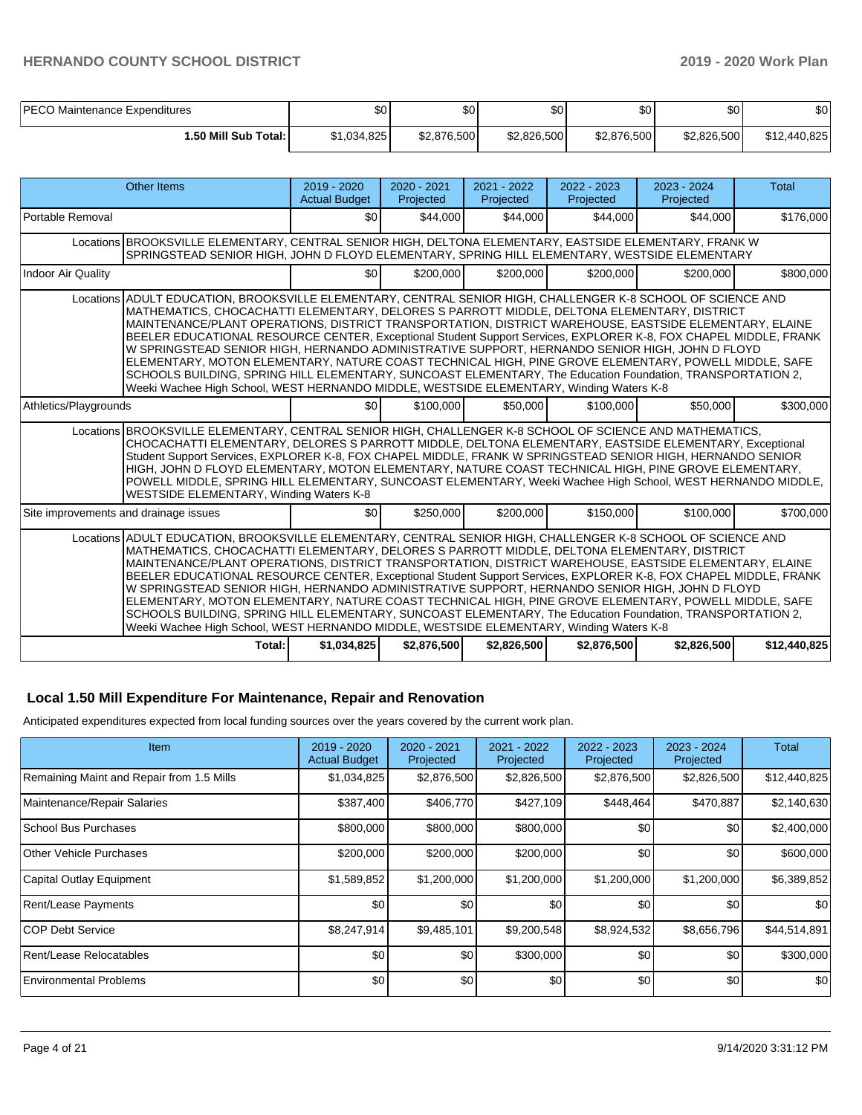| PECO Maintenance Expenditures | \$0         | ا 30        | ሶሳ<br>w     | ¢∩<br>υU    | \$0 <sub>1</sub> | \$0          |
|-------------------------------|-------------|-------------|-------------|-------------|------------------|--------------|
| l.50 Mill Sub Total: I        | \$1,034,825 | \$2,876,500 | \$2,826,500 | \$2,876,500 | \$2,826,500      | \$12,440,825 |

| Other Items                                                                                                                                                                                                                                                                                                                                                                                                                                                                                                                                                                                                                                                                                                                                                                                                                                                   | 2019 - 2020<br><b>Actual Budget</b>                                                                                                                                                                                                                                                                                                                                                                                                                                                                                                                      | 2020 - 2021<br>Projected | $2021 - 2022$<br>Projected | 2022 - 2023<br>Projected | 2023 - 2024<br>Projected | <b>Total</b> |  |  |  |
|---------------------------------------------------------------------------------------------------------------------------------------------------------------------------------------------------------------------------------------------------------------------------------------------------------------------------------------------------------------------------------------------------------------------------------------------------------------------------------------------------------------------------------------------------------------------------------------------------------------------------------------------------------------------------------------------------------------------------------------------------------------------------------------------------------------------------------------------------------------|----------------------------------------------------------------------------------------------------------------------------------------------------------------------------------------------------------------------------------------------------------------------------------------------------------------------------------------------------------------------------------------------------------------------------------------------------------------------------------------------------------------------------------------------------------|--------------------------|----------------------------|--------------------------|--------------------------|--------------|--|--|--|
| Portable Removal                                                                                                                                                                                                                                                                                                                                                                                                                                                                                                                                                                                                                                                                                                                                                                                                                                              | \$0                                                                                                                                                                                                                                                                                                                                                                                                                                                                                                                                                      | \$44,000                 | \$44,000                   | \$44.000                 | \$44,000                 | \$176,000    |  |  |  |
| Locations BROOKSVILLE ELEMENTARY. CENTRAL SENIOR HIGH. DELTONA ELEMENTARY. EASTSIDE ELEMENTARY. FRANK W<br>SPRINGSTEAD SENIOR HIGH, JOHN D FLOYD ELEMENTARY, SPRING HILL ELEMENTARY, WESTSIDE ELEMENTARY                                                                                                                                                                                                                                                                                                                                                                                                                                                                                                                                                                                                                                                      |                                                                                                                                                                                                                                                                                                                                                                                                                                                                                                                                                          |                          |                            |                          |                          |              |  |  |  |
| <b>Indoor Air Quality</b>                                                                                                                                                                                                                                                                                                                                                                                                                                                                                                                                                                                                                                                                                                                                                                                                                                     | \$0 <sub>1</sub>                                                                                                                                                                                                                                                                                                                                                                                                                                                                                                                                         | \$200,000                | \$200,000                  | \$200,000                | \$200.000                | \$800,000    |  |  |  |
| Locations ADULT EDUCATION, BROOKSVILLE ELEMENTARY, CENTRAL SENIOR HIGH, CHALLENGER K-8 SCHOOL OF SCIENCE AND<br>MATHEMATICS, CHOCACHATTI ELEMENTARY, DELORES S PARROTT MIDDLE, DELTONA ELEMENTARY, DISTRICT<br>MAINTENANCE/PLANT OPERATIONS, DISTRICT TRANSPORTATION, DISTRICT WAREHOUSE, EASTSIDE ELEMENTARY, ELAINE<br>BEELER EDUCATIONAL RESOURCE CENTER, Exceptional Student Support Services, EXPLORER K-8, FOX CHAPEL MIDDLE, FRANK<br>W SPRINGSTEAD SENIOR HIGH, HERNANDO ADMINISTRATIVE SUPPORT, HERNANDO SENIOR HIGH, JOHN D FLOYD<br>ELEMENTARY, MOTON ELEMENTARY, NATURE COAST TECHNICAL HIGH, PINE GROVE ELEMENTARY, POWELL MIDDLE, SAFE<br>SCHOOLS BUILDING, SPRING HILL ELEMENTARY, SUNCOAST ELEMENTARY, The Education Foundation, TRANSPORTATION 2,<br>Weeki Wachee High School, WEST HERNANDO MIDDLE, WESTSIDE ELEMENTARY, Winding Waters K-8 |                                                                                                                                                                                                                                                                                                                                                                                                                                                                                                                                                          |                          |                            |                          |                          |              |  |  |  |
| Athletics/Playgrounds                                                                                                                                                                                                                                                                                                                                                                                                                                                                                                                                                                                                                                                                                                                                                                                                                                         | \$0 <sub>1</sub>                                                                                                                                                                                                                                                                                                                                                                                                                                                                                                                                         | \$100,000                | \$50,000                   | \$100,000                | \$50,000                 | \$300,000    |  |  |  |
| WESTSIDE ELEMENTARY, Winding Waters K-8                                                                                                                                                                                                                                                                                                                                                                                                                                                                                                                                                                                                                                                                                                                                                                                                                       | Locations BROOKSVILLE ELEMENTARY, CENTRAL SENIOR HIGH, CHALLENGER K-8 SCHOOL OF SCIENCE AND MATHEMATICS,<br>CHOCACHATTI ELEMENTARY, DELORES S PARROTT MIDDLE, DELTONA ELEMENTARY, EASTSIDE ELEMENTARY, Exceptional<br>Student Support Services, EXPLORER K-8, FOX CHAPEL MIDDLE, FRANK W SPRINGSTEAD SENIOR HIGH, HERNANDO SENIOR<br>HIGH, JOHN D FLOYD ELEMENTARY, MOTON ELEMENTARY, NATURE COAST TECHNICAL HIGH, PINE GROVE ELEMENTARY,<br>POWELL MIDDLE, SPRING HILL ELEMENTARY, SUNCOAST ELEMENTARY, Weeki Wachee High School, WEST HERNANDO MIDDLE, |                          |                            |                          |                          |              |  |  |  |
| Site improvements and drainage issues                                                                                                                                                                                                                                                                                                                                                                                                                                                                                                                                                                                                                                                                                                                                                                                                                         | \$0                                                                                                                                                                                                                                                                                                                                                                                                                                                                                                                                                      | \$250,000                | \$200,000                  | \$150,000                | \$100,000                | \$700,000    |  |  |  |
| Locations ADULT EDUCATION, BROOKSVILLE ELEMENTARY, CENTRAL SENIOR HIGH, CHALLENGER K-8 SCHOOL OF SCIENCE AND<br>MATHEMATICS, CHOCACHATTI ELEMENTARY, DELORES S PARROTT MIDDLE, DELTONA ELEMENTARY, DISTRICT<br>MAINTENANCE/PLANT OPERATIONS, DISTRICT TRANSPORTATION, DISTRICT WAREHOUSE, EASTSIDE ELEMENTARY, ELAINE<br>BEELER EDUCATIONAL RESOURCE CENTER, Exceptional Student Support Services, EXPLORER K-8, FOX CHAPEL MIDDLE, FRANK<br>W SPRINGSTEAD SENIOR HIGH, HERNANDO ADMINISTRATIVE SUPPORT, HERNANDO SENIOR HIGH, JOHN D FLOYD<br>ELEMENTARY, MOTON ELEMENTARY, NATURE COAST TECHNICAL HIGH, PINE GROVE ELEMENTARY, POWELL MIDDLE, SAFE<br>SCHOOLS BUILDING, SPRING HILL ELEMENTARY, SUNCOAST ELEMENTARY, The Education Foundation, TRANSPORTATION 2,<br>Weeki Wachee High School, WEST HERNANDO MIDDLE, WESTSIDE ELEMENTARY, Winding Waters K-8 |                                                                                                                                                                                                                                                                                                                                                                                                                                                                                                                                                          |                          |                            |                          |                          |              |  |  |  |
| Total:                                                                                                                                                                                                                                                                                                                                                                                                                                                                                                                                                                                                                                                                                                                                                                                                                                                        | \$1,034,825                                                                                                                                                                                                                                                                                                                                                                                                                                                                                                                                              | \$2,876,500              | \$2,826,500                | \$2,876,500              | \$2,826,500              | \$12,440,825 |  |  |  |

### **Local 1.50 Mill Expenditure For Maintenance, Repair and Renovation**

Anticipated expenditures expected from local funding sources over the years covered by the current work plan.

| Item                                      | $2019 - 2020$<br><b>Actual Budget</b> | 2020 - 2021<br>Projected | 2021 - 2022<br>Projected | 2022 - 2023<br>Projected | 2023 - 2024<br>Projected | Total        |
|-------------------------------------------|---------------------------------------|--------------------------|--------------------------|--------------------------|--------------------------|--------------|
| Remaining Maint and Repair from 1.5 Mills | \$1,034,825                           | \$2,876,500              | \$2,826,500              | \$2,876,500              | \$2,826,500              | \$12,440,825 |
| Maintenance/Repair Salaries               | \$387,400                             | \$406,770                | \$427,109                | \$448,464                | \$470,887                | \$2,140,630  |
| School Bus Purchases                      | \$800,000                             | \$800,000                | \$800,000                | \$0                      | \$0                      | \$2,400,000  |
| <b>Other Vehicle Purchases</b>            | \$200,000                             | \$200,000                | \$200,000                | \$0                      | \$0                      | \$600,000    |
| Capital Outlay Equipment                  | \$1,589,852                           | \$1,200,000              | \$1,200,000              | \$1,200,000              | \$1,200,000              | \$6,389,852  |
| Rent/Lease Payments                       | \$0                                   | \$0                      | \$0                      | \$0                      | \$0                      | \$0          |
| ICOP Debt Service                         | \$8,247,914                           | \$9,485,101              | \$9,200,548              | \$8,924,532              | \$8,656,796              | \$44,514,891 |
| Rent/Lease Relocatables                   | \$0                                   | \$0                      | \$300,000                | \$0                      | \$0                      | \$300,000    |
| <b>Environmental Problems</b>             | \$0 <sub>1</sub>                      | \$0                      | <b>\$0</b>               | \$0                      | \$0                      | \$0          |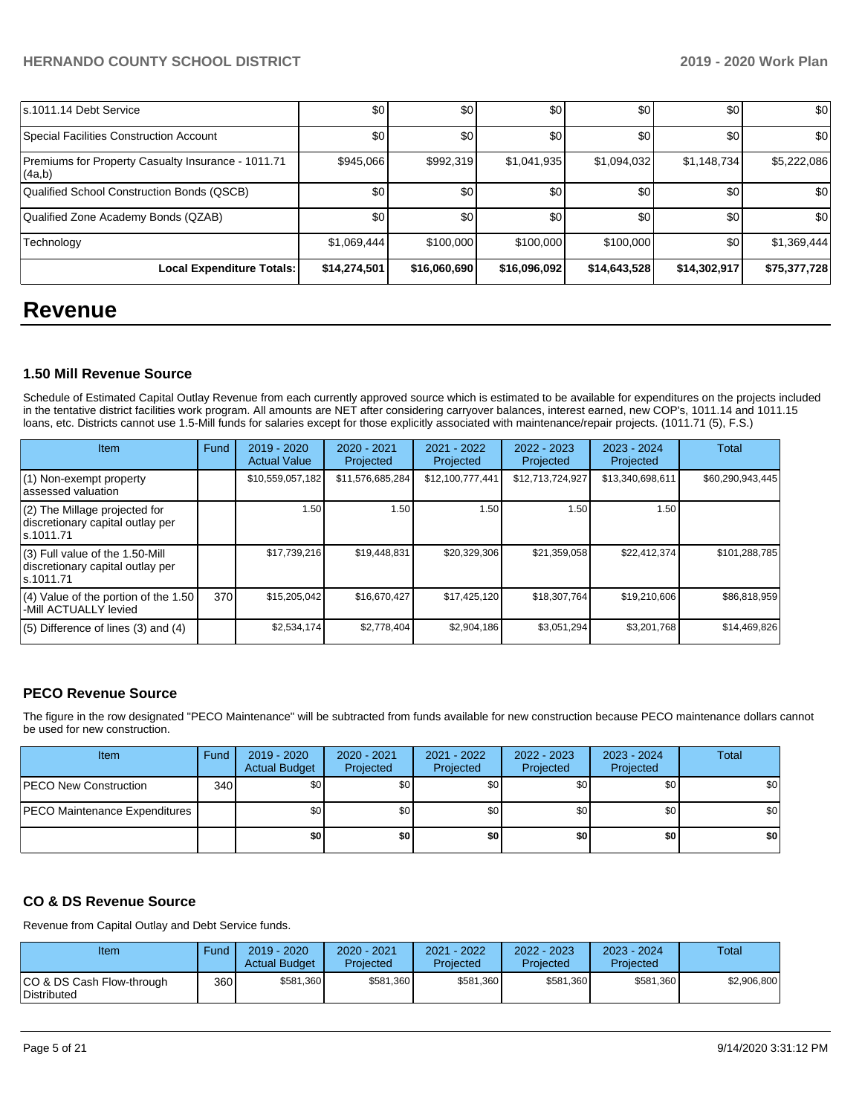| ls.1011.14 Debt Service                                      | \$0          | \$0          | \$0              | \$0          | \$0              | \$0          |
|--------------------------------------------------------------|--------------|--------------|------------------|--------------|------------------|--------------|
| Special Facilities Construction Account                      | \$0          | \$0          | \$0              | \$0          | \$0              | \$0          |
| Premiums for Property Casualty Insurance - 1011.71<br>(4a,b) | \$945,066    | \$992,319    | \$1,041,935      | \$1,094,032  | \$1,148,734      | \$5,222,086  |
| Qualified School Construction Bonds (QSCB)                   | \$0          | \$0          | \$0              | \$0          | \$0              | \$0          |
| Qualified Zone Academy Bonds (QZAB)                          | \$0          | \$0          | \$0 <sub>1</sub> | \$0          | \$0              | \$0          |
| Technology                                                   | \$1,069,444  | \$100,000    | \$100,000        | \$100,000    | \$0 <sub>1</sub> | \$1,369,444  |
| Local Expenditure Totals:                                    | \$14,274,501 | \$16,060,690 | \$16,096,092     | \$14,643,528 | \$14,302,917     | \$75,377,728 |

## **Revenue**

## **1.50 Mill Revenue Source**

Schedule of Estimated Capital Outlay Revenue from each currently approved source which is estimated to be available for expenditures on the projects included in the tentative district facilities work program. All amounts are NET after considering carryover balances, interest earned, new COP's, 1011.14 and 1011.15 loans, etc. Districts cannot use 1.5-Mill funds for salaries except for those explicitly associated with maintenance/repair projects. (1011.71 (5), F.S.)

| Item                                                                                | Fund | 2019 - 2020<br><b>Actual Value</b> | 2020 - 2021<br>Projected | 2021 - 2022<br>Projected | 2022 - 2023<br>Projected | $2023 - 2024$<br>Projected | Total            |
|-------------------------------------------------------------------------------------|------|------------------------------------|--------------------------|--------------------------|--------------------------|----------------------------|------------------|
| $(1)$ Non-exempt property<br>lassessed valuation                                    |      | \$10,559,057,182                   | \$11,576,685,284         | \$12,100,777,441         | \$12,713,724,927         | \$13,340,698,611           | \$60,290,943,445 |
| (2) The Millage projected for<br>discretionary capital outlay per<br>ls.1011.71     |      | 1.50                               | 1.50                     | 1.50                     | 1.50                     | 1.50                       |                  |
| $(3)$ Full value of the 1.50-Mill<br>discretionary capital outlay per<br>ls.1011.71 |      | \$17,739,216                       | \$19,448,831             | \$20,329,306             | \$21,359,058             | \$22,412,374               | \$101,288,785    |
| $(4)$ Value of the portion of the 1.50<br>-Mill ACTUALLY levied                     | 370  | \$15,205,042                       | \$16,670,427             | \$17,425,120             | \$18,307,764             | \$19,210,606               | \$86,818,959     |
| $(5)$ Difference of lines $(3)$ and $(4)$                                           |      | \$2,534,174                        | \$2,778,404              | \$2,904,186              | \$3,051,294              | \$3,201,768                | \$14,469,826     |

## **PECO Revenue Source**

The figure in the row designated "PECO Maintenance" will be subtracted from funds available for new construction because PECO maintenance dollars cannot be used for new construction.

| Item                                 | Fund | 2019 - 2020<br><b>Actual Budget</b> | 2020 - 2021<br>Projected | 2021 - 2022<br>Projected | $2022 - 2023$<br>Projected | 2023 - 2024<br>Projected | Total            |
|--------------------------------------|------|-------------------------------------|--------------------------|--------------------------|----------------------------|--------------------------|------------------|
| <b>PECO New Construction</b>         | 340  | \$0                                 | \$0                      | \$0                      | \$0                        | \$0                      | \$0 <sub>1</sub> |
| <b>PECO Maintenance Expenditures</b> |      | \$0                                 | \$0                      | \$0                      | \$0                        | \$0                      | \$0 <sub>1</sub> |
|                                      |      | \$0                                 | \$٥١                     | \$0                      | \$0                        | \$0                      | \$0              |

## **CO & DS Revenue Source**

Revenue from Capital Outlay and Debt Service funds.

| Item                                      | Fund | $2019 - 2020$<br><b>Actual Budget</b> | 2020 - 2021<br>Projected | 2021 - 2022<br>Projected | 2022 - 2023<br>Projected | 2023 - 2024<br>Projected | Total       |
|-------------------------------------------|------|---------------------------------------|--------------------------|--------------------------|--------------------------|--------------------------|-------------|
| ICO & DS Cash Flow-through<br>Distributed | 360  | \$581,360                             | \$581.360                | \$581,360                | \$581.360                | \$581.360                | \$2.906.800 |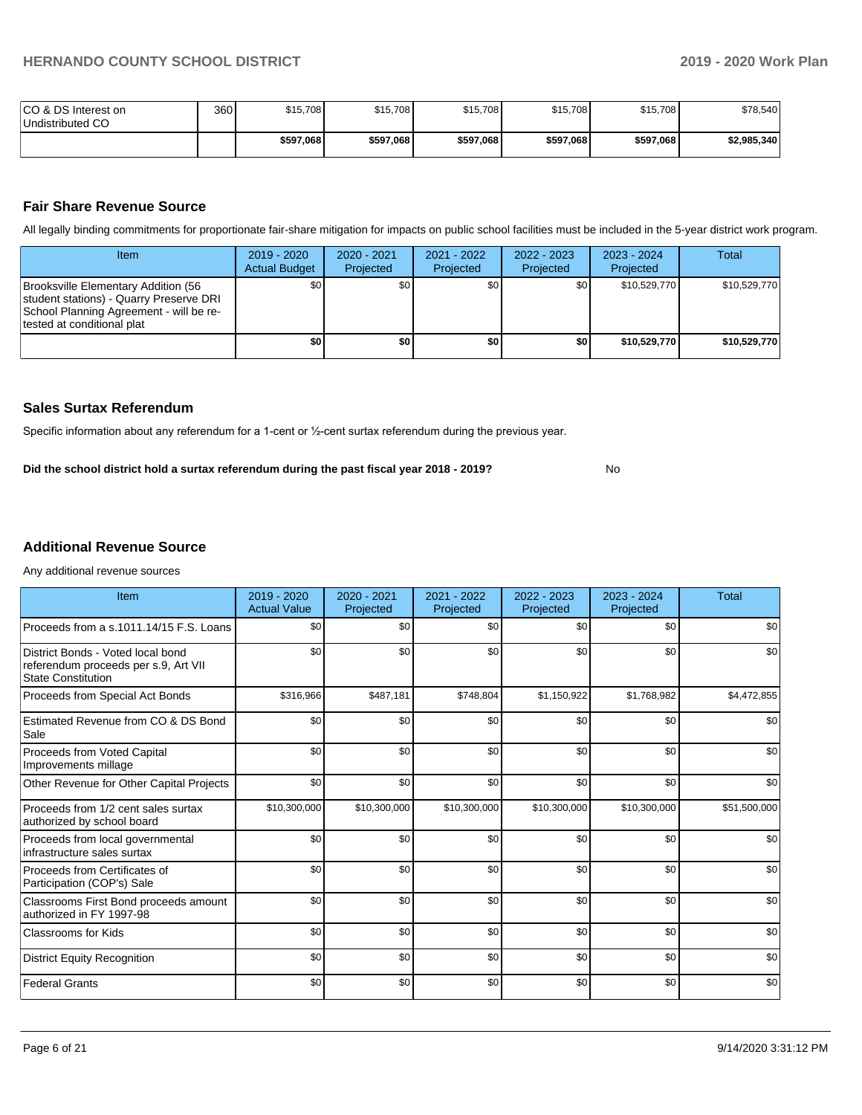No

| ICO & DS Interest on<br>Undistributed CO | 360 | \$15,708  | \$15,708  | \$15,708  | \$15,708  | \$15,708  | \$78,540    |
|------------------------------------------|-----|-----------|-----------|-----------|-----------|-----------|-------------|
|                                          |     | \$597,068 | \$597,068 | \$597,068 | \$597,068 | \$597,068 | \$2,985,340 |

### **Fair Share Revenue Source**

All legally binding commitments for proportionate fair-share mitigation for impacts on public school facilities must be included in the 5-year district work program.

| <b>Item</b>                                                                                                                                              | $2019 - 2020$<br><b>Actual Budget</b> | 2020 - 2021<br>Projected | 2021 - 2022<br>Projected | 2022 - 2023<br>Projected | $2023 - 2024$<br>Projected | Total        |
|----------------------------------------------------------------------------------------------------------------------------------------------------------|---------------------------------------|--------------------------|--------------------------|--------------------------|----------------------------|--------------|
| Brooksville Elementary Addition (56<br>student stations) - Quarry Preserve DRI<br>School Planning Agreement - will be re-<br>Itested at conditional plat | \$0 <sub>1</sub>                      | \$0                      | \$0                      | \$0                      | \$10,529,770               | \$10,529,770 |
|                                                                                                                                                          | \$0                                   | \$0                      | \$0                      | \$0                      | \$10,529,770               | \$10,529,770 |

### **Sales Surtax Referendum**

Specific information about any referendum for a 1-cent or ½-cent surtax referendum during the previous year.

**Did the school district hold a surtax referendum during the past fiscal year 2018 - 2019?**

### **Additional Revenue Source**

Any additional revenue sources

| Item                                                                                                   | 2019 - 2020<br><b>Actual Value</b> | 2020 - 2021<br>Projected | 2021 - 2022<br>Projected | 2022 - 2023<br>Projected | $2023 - 2024$<br>Projected | <b>Total</b> |
|--------------------------------------------------------------------------------------------------------|------------------------------------|--------------------------|--------------------------|--------------------------|----------------------------|--------------|
| Proceeds from a s.1011.14/15 F.S. Loans                                                                | \$0                                | \$0                      | \$0                      | \$0                      | \$0                        | \$0          |
| District Bonds - Voted local bond<br>referendum proceeds per s.9, Art VII<br><b>State Constitution</b> | \$0                                | \$0                      | \$0                      | \$0                      | \$0                        | \$0          |
| Proceeds from Special Act Bonds                                                                        | \$316,966                          | \$487,181                | \$748,804                | \$1,150,922              | \$1,768,982                | \$4,472,855  |
| Estimated Revenue from CO & DS Bond<br>Sale                                                            | \$0                                | \$0                      | \$0                      | \$0                      | \$0                        | \$0          |
| Proceeds from Voted Capital<br>Improvements millage                                                    | \$0                                | \$0                      | \$0                      | \$0                      | \$0                        | \$0          |
| Other Revenue for Other Capital Projects                                                               | \$0                                | \$0                      | \$0                      | \$0                      | \$0                        | \$0          |
| Proceeds from 1/2 cent sales surtax<br>authorized by school board                                      | \$10,300,000                       | \$10,300,000             | \$10,300,000             | \$10,300,000             | \$10,300,000               | \$51,500,000 |
| Proceeds from local governmental<br>infrastructure sales surtax                                        | \$0                                | \$0                      | \$0                      | \$0                      | \$0                        | \$0          |
| Proceeds from Certificates of<br>Participation (COP's) Sale                                            | \$0                                | \$0                      | \$0                      | \$0                      | \$0                        | \$0          |
| Classrooms First Bond proceeds amount<br>authorized in FY 1997-98                                      | \$0                                | \$0                      | \$0                      | \$0                      | \$0                        | \$0          |
| <b>Classrooms for Kids</b>                                                                             | \$0                                | \$0                      | \$0                      | \$0                      | \$0                        | \$0          |
| <b>District Equity Recognition</b>                                                                     | \$0                                | \$0                      | \$0                      | \$0                      | \$0                        | \$0          |
| <b>Federal Grants</b>                                                                                  | \$0                                | \$0                      | \$0                      | \$0                      | \$0                        | \$0          |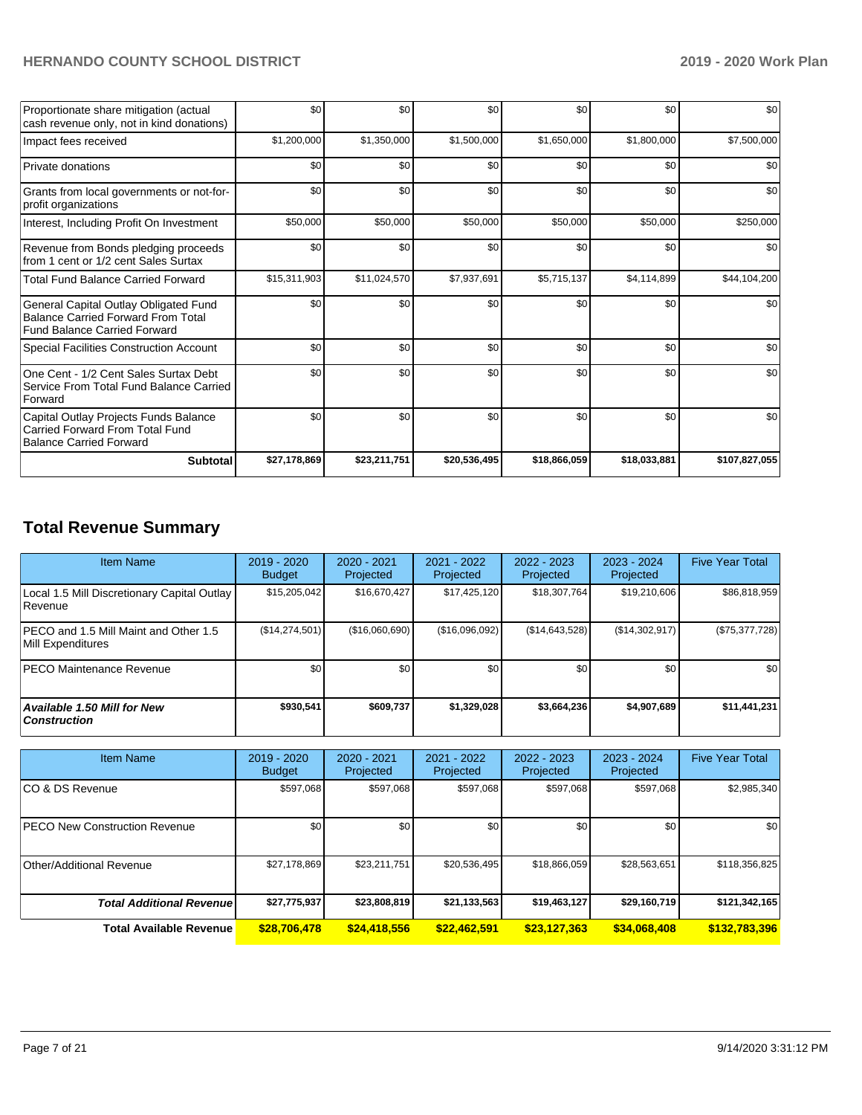| Proportionate share mitigation (actual<br>cash revenue only, not in kind donations)                                       | \$0          | \$0          | \$0          | \$0          | \$0          | \$0           |
|---------------------------------------------------------------------------------------------------------------------------|--------------|--------------|--------------|--------------|--------------|---------------|
| Impact fees received                                                                                                      | \$1,200,000  | \$1,350,000  | \$1,500,000  | \$1,650,000  | \$1,800,000  | \$7,500,000   |
| Private donations                                                                                                         | \$0          | \$0          | \$0          | \$0          | \$0          | \$0           |
| Grants from local governments or not-for-<br>profit organizations                                                         | \$0          | \$0          | \$0          | \$0          | \$0          | \$0           |
| Interest, Including Profit On Investment                                                                                  | \$50,000     | \$50,000     | \$50,000     | \$50,000     | \$50,000     | \$250,000     |
| Revenue from Bonds pledging proceeds<br>from 1 cent or 1/2 cent Sales Surtax                                              | \$0          | \$0          | \$0          | \$0          | \$0          | \$0           |
| <b>Total Fund Balance Carried Forward</b>                                                                                 | \$15,311,903 | \$11,024,570 | \$7,937,691  | \$5,715,137  | \$4,114,899  | \$44,104,200  |
| General Capital Outlay Obligated Fund<br><b>Balance Carried Forward From Total</b><br><b>Fund Balance Carried Forward</b> | \$0          | \$0          | \$0          | \$0          | \$0          | \$0           |
| <b>Special Facilities Construction Account</b>                                                                            | \$0          | \$0          | \$0          | \$0          | \$0          | \$0           |
| One Cent - 1/2 Cent Sales Surtax Debt<br>Service From Total Fund Balance Carried<br>Forward                               | \$0          | \$0          | \$0          | \$0          | \$0          | \$0           |
| Capital Outlay Projects Funds Balance<br>Carried Forward From Total Fund<br><b>Balance Carried Forward</b>                | \$0          | \$0          | \$0          | \$0          | \$0          | \$0           |
| <b>Subtotal</b>                                                                                                           | \$27,178,869 | \$23,211,751 | \$20,536,495 | \$18,866,059 | \$18,033,881 | \$107,827,055 |

## **Total Revenue Summary**

| <b>Item Name</b>                                              | $2019 - 2020$<br><b>Budget</b> | 2020 - 2021<br>Projected | 2021 - 2022<br>Projected | $2022 - 2023$<br>Projected | 2023 - 2024<br>Projected | <b>Five Year Total</b> |
|---------------------------------------------------------------|--------------------------------|--------------------------|--------------------------|----------------------------|--------------------------|------------------------|
| Local 1.5 Mill Discretionary Capital Outlay<br><b>Revenue</b> | \$15,205,042                   | \$16,670,427             | \$17,425,120             | \$18,307.764               | \$19,210,606             | \$86,818,959           |
| PECO and 1.5 Mill Maint and Other 1.5<br>Mill Expenditures    | (\$14,274,501)                 | (\$16,060,690)           | (S16,096,092)            | (S14, 643, 528)            | (\$14,302,917)           | $(\$75,377,728)$       |
| <b>IPECO Maintenance Revenue</b>                              | \$0                            | \$0                      | \$0                      | \$0                        | \$0                      | \$0                    |
| Available 1.50 Mill for New<br>  Construction                 | \$930.541                      | \$609.737                | \$1.329.028              | \$3,664,236                | \$4.907.689              | \$11,441,231           |

| <b>Item Name</b>                     | 2019 - 2020<br><b>Budget</b> | 2020 - 2021<br>Projected | 2021 - 2022<br>Projected | 2022 - 2023<br>Projected | 2023 - 2024<br>Projected | <b>Five Year Total</b> |
|--------------------------------------|------------------------------|--------------------------|--------------------------|--------------------------|--------------------------|------------------------|
| ICO & DS Revenue                     | \$597,068                    | \$597,068                | \$597,068                | \$597,068                | \$597,068                | \$2,985,340            |
| <b>PECO New Construction Revenue</b> | \$0                          | \$0                      | \$0                      | \$0                      | \$0                      | \$0                    |
| Other/Additional Revenue             | \$27,178,869                 | \$23,211,751             | \$20,536,495             | \$18,866,059             | \$28,563,651             | \$118,356,825          |
| <b>Total Additional Revenue</b>      | \$27,775,937                 | \$23,808,819             | \$21,133,563             | \$19,463,127             | \$29,160,719             | \$121,342,165          |
| <b>Total Available Revenue</b>       | \$28,706,478                 | \$24,418,556             | \$22,462,591             | \$23,127,363             | \$34,068,408             | \$132,783,396          |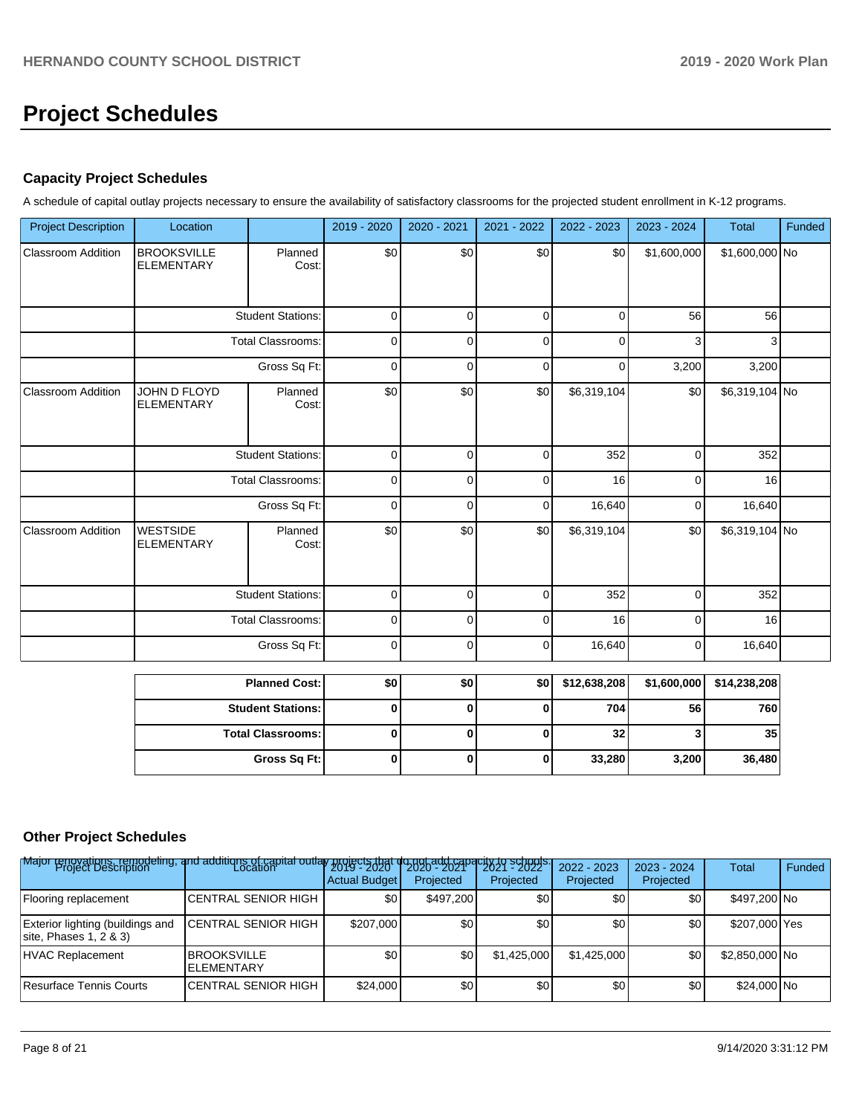# **Project Schedules**

## **Capacity Project Schedules**

A schedule of capital outlay projects necessary to ensure the availability of satisfactory classrooms for the projected student enrollment in K-12 programs.

| <b>Project Description</b> | Location                                |                          | 2019 - 2020 | 2020 - 2021 | 2021 - 2022 | 2022 - 2023  | 2023 - 2024 | <b>Total</b>   | Funded |
|----------------------------|-----------------------------------------|--------------------------|-------------|-------------|-------------|--------------|-------------|----------------|--------|
| <b>Classroom Addition</b>  | <b>BROOKSVILLE</b><br><b>ELEMENTARY</b> | Planned<br>Cost:         | \$0         | \$0         | \$0         | \$0          | \$1,600,000 | \$1,600,000 No |        |
|                            |                                         | <b>Student Stations:</b> | $\pmb{0}$   | $\pmb{0}$   | $\pmb{0}$   | 0            | 56          | 56             |        |
|                            |                                         | <b>Total Classrooms:</b> | 0           | 0           | 0           | 0            | 3           | 3              |        |
|                            |                                         | Gross Sq Ft:             | 0           | 0           | 0           | 0            | 3,200       | 3,200          |        |
| Classroom Addition         | JOHN D FLOYD<br><b>ELEMENTARY</b>       | Planned<br>Cost:         | \$0         | \$0         | \$0         | \$6,319,104  | \$0         | \$6,319,104 No |        |
|                            |                                         | <b>Student Stations:</b> | $\pmb{0}$   | 0           | 0           | 352          | 0           | 352            |        |
|                            |                                         | <b>Total Classrooms:</b> | 0           | 0           | 0           | 16           | 0           | 16             |        |
|                            |                                         | Gross Sq Ft:             | $\pmb{0}$   | 0           | $\pmb{0}$   | 16,640       | 0           | 16,640         |        |
| <b>Classroom Addition</b>  | <b>WESTSIDE</b><br><b>ELEMENTARY</b>    | Planned<br>Cost:         | \$0         | \$0         | \$0         | \$6,319,104  | \$0         | \$6,319,104 No |        |
|                            |                                         | <b>Student Stations:</b> | 0           | $\mathbf 0$ | $\mathbf 0$ | 352          | 0           | 352            |        |
|                            |                                         | <b>Total Classrooms:</b> | 0           | 0           | 0           | 16           | 0           | 16             |        |
|                            |                                         | Gross Sq Ft:             | $\mathbf 0$ | $\pmb{0}$   | $\mathbf 0$ | 16,640       | $\pmb{0}$   | 16,640         |        |
|                            |                                         | <b>Planned Cost:</b>     | \$0         | \$0         | \$0         | \$12,638,208 | \$1,600,000 | \$14,238,208   |        |
|                            |                                         | <b>Student Stations:</b> | 0           | 0           | 0           | 704          | 56          | 760            |        |
|                            |                                         | <b>Total Classrooms:</b> | $\pmb{0}$   | 0           | 0           | 32           | 3           | 35             |        |
|                            |                                         | Gross Sq Ft:             | $\pmb{0}$   | 0           | $\pmb{0}$   | 33,280       | 3,200       | 36,480         |        |

## **Other Project Schedules**

| Major renovations, remodeling, and additions of capital outlay projects that<br>Location Project Description |                                          | <b>Actual Budget</b> | t do not add capa<br>Projected | city to schools.<br>Projected | 2022 - 2023<br>Projected | $2023 - 2024$<br>Projected | <b>Total</b>   | Funded |
|--------------------------------------------------------------------------------------------------------------|------------------------------------------|----------------------|--------------------------------|-------------------------------|--------------------------|----------------------------|----------------|--------|
| Flooring replacement                                                                                         | CENTRAL SENIOR HIGH                      | \$0                  | \$497,200                      | \$0                           | \$0                      | \$0                        | \$497,200 No   |        |
| Exterior lighting (buildings and<br>site, Phases $1, 2, 8, 3$                                                | <b>ICENTRAL SENIOR HIGH</b>              | \$207,000            | \$0                            | \$0                           | \$0                      | \$0                        | \$207,000 Yes  |        |
| HVAC Replacement                                                                                             | <b>IBROOKSVILLE</b><br><b>ELEMENTARY</b> | \$0                  | \$0                            | \$1,425,000                   | \$1,425,000              | \$0                        | \$2,850,000 No |        |
| Resurface Tennis Courts                                                                                      | CENTRAL SENIOR HIGH                      | \$24,000             | \$0                            | \$0 <sub>1</sub>              | \$0                      | \$0                        | \$24,000 No    |        |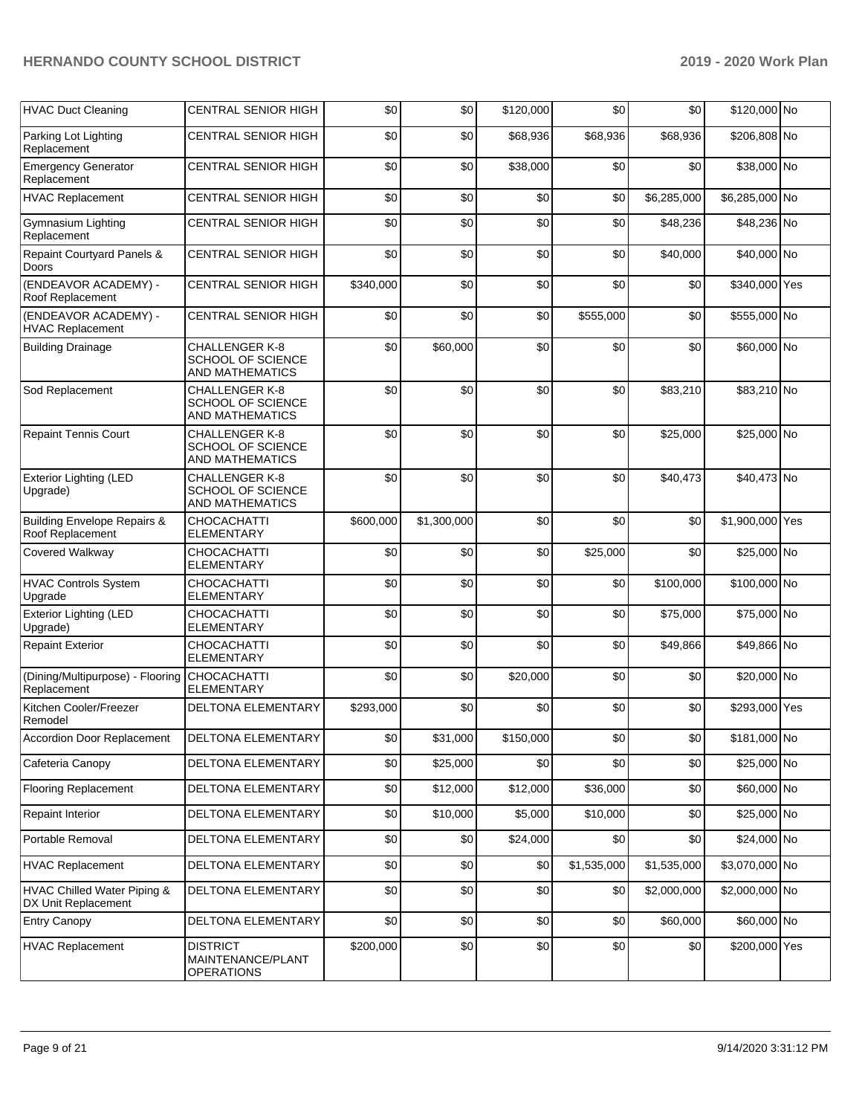| <b>HVAC Duct Cleaning</b>                                  | <b>CENTRAL SENIOR HIGH</b>                                           | \$0       | \$0         | \$120,000 | \$0         | \$0         | \$120,000 No    |  |
|------------------------------------------------------------|----------------------------------------------------------------------|-----------|-------------|-----------|-------------|-------------|-----------------|--|
| Parking Lot Lighting<br>Replacement                        | <b>CENTRAL SENIOR HIGH</b>                                           | \$0       | \$0         | \$68,936  | \$68,936    | \$68,936    | \$206,808 No    |  |
| <b>Emergency Generator</b><br>Replacement                  | CENTRAL SENIOR HIGH                                                  | \$0       | \$0         | \$38,000  | \$0         | \$0         | \$38,000 No     |  |
| <b>HVAC Replacement</b>                                    | <b>CENTRAL SENIOR HIGH</b>                                           | \$0       | \$0         | \$0       | \$0         | \$6,285,000 | \$6,285,000 No  |  |
| <b>Gymnasium Lighting</b><br>Replacement                   | <b>CENTRAL SENIOR HIGH</b>                                           | \$0       | \$0         | \$0       | \$0         | \$48,236    | \$48,236 No     |  |
| Repaint Courtyard Panels &<br>Doors                        | <b>CENTRAL SENIOR HIGH</b>                                           | \$0       | \$0         | \$0       | \$0         | \$40,000    | \$40,000 No     |  |
| (ENDEAVOR ACADEMY) -<br>Roof Replacement                   | <b>CENTRAL SENIOR HIGH</b>                                           | \$340,000 | \$0         | \$0       | \$0         | \$0         | \$340,000 Yes   |  |
| (ENDEAVOR ACADEMY) -<br><b>HVAC Replacement</b>            | <b>CENTRAL SENIOR HIGH</b>                                           | \$0       | \$0         | \$0       | \$555,000   | \$0         | \$555,000 No    |  |
| <b>Building Drainage</b>                                   | <b>CHALLENGER K-8</b><br>SCHOOL OF SCIENCE<br>AND MATHEMATICS        | \$0       | \$60,000    | \$0       | \$0         | \$0         | \$60,000 No     |  |
| Sod Replacement                                            | CHALLENGER K-8<br>SCHOOL OF SCIENCE<br><b>AND MATHEMATICS</b>        | \$0       | \$0         | \$0       | \$0         | \$83,210    | \$83,210 No     |  |
| <b>Repaint Tennis Court</b>                                | <b>CHALLENGER K-8</b><br>SCHOOL OF SCIENCE<br>AND MATHEMATICS        | \$0       | \$0         | \$0       | \$0         | \$25,000    | \$25,000 No     |  |
| <b>Exterior Lighting (LED</b><br>Upgrade)                  | <b>CHALLENGER K-8</b><br><b>SCHOOL OF SCIENCE</b><br>AND MATHEMATICS | \$0       | \$0         | \$0       | \$0         | \$40,473    | \$40,473 No     |  |
| <b>Building Envelope Repairs &amp;</b><br>Roof Replacement | <b>CHOCACHATTI</b><br><b>ELEMENTARY</b>                              | \$600,000 | \$1,300,000 | \$0       | \$0         | \$0         | \$1,900,000 Yes |  |
| Covered Walkway                                            | <b>CHOCACHATTI</b><br>ELEMENTARY                                     | \$0       | \$0         | \$0       | \$25,000    | \$0         | \$25,000 No     |  |
| <b>HVAC Controls System</b><br>Upgrade                     | <b>CHOCACHATTI</b><br>ELEMENTARY                                     | \$0       | \$0         | \$0       | \$0         | \$100,000   | \$100,000 No    |  |
| <b>Exterior Lighting (LED</b><br>Upgrade)                  | <b>CHOCACHATTI</b><br><b>ELEMENTARY</b>                              | \$0       | \$0         | \$0       | \$0         | \$75,000    | \$75,000 No     |  |
| <b>Repaint Exterior</b>                                    | <b>CHOCACHATTI</b><br><b>ELEMENTARY</b>                              | \$0       | \$0         | \$0       | \$0         | \$49,866    | \$49,866 No     |  |
| (Dining/Multipurpose) - Flooring<br>Replacement            | <b>CHOCACHATTI</b><br>ELEMENTARY                                     | \$0       | \$0         | \$20,000  | \$0         | \$0         | \$20,000 No     |  |
| Kitchen Cooler/Freezer<br>Remodel                          | DELTONA ELEMENTARY                                                   | \$293,000 | \$0         | \$0       | \$0         | \$0         | \$293,000 Yes   |  |
| <b>Accordion Door Replacement</b>                          | DELTONA ELEMENTARY                                                   | \$0       | \$31,000    | \$150,000 | \$0         | \$0         | \$181,000 No    |  |
| Cafeteria Canopy                                           | DELTONA ELEMENTARY                                                   | \$0       | \$25,000    | \$0       | \$0         | \$0         | \$25,000 No     |  |
| <b>Flooring Replacement</b>                                | DELTONA ELEMENTARY                                                   | \$0       | \$12,000    | \$12,000  | \$36,000    | \$0         | \$60,000 No     |  |
| <b>Repaint Interior</b>                                    | DELTONA ELEMENTARY                                                   | \$0       | \$10,000    | \$5,000   | \$10,000    | \$0         | \$25,000 No     |  |
| Portable Removal                                           | DELTONA ELEMENTARY                                                   | \$0       | \$0         | \$24,000  | \$0         | \$0         | \$24,000 No     |  |
| <b>HVAC Replacement</b>                                    | DELTONA ELEMENTARY                                                   | \$0       | \$0         | \$0       | \$1,535,000 | \$1,535,000 | \$3,070,000 No  |  |
| HVAC Chilled Water Piping &<br>DX Unit Replacement         | DELTONA ELEMENTARY                                                   | \$0       | \$0         | \$0       | \$0         | \$2,000,000 | \$2,000,000 No  |  |
| <b>Entry Canopy</b>                                        | DELTONA ELEMENTARY                                                   | \$0       | \$0         | \$0       | \$0         | \$60,000    | \$60,000 No     |  |
| <b>HVAC Replacement</b>                                    | <b>DISTRICT</b><br>MAINTENANCE/PLANT<br><b>OPERATIONS</b>            | \$200,000 | \$0         | \$0       | \$0         | \$0         | \$200,000 Yes   |  |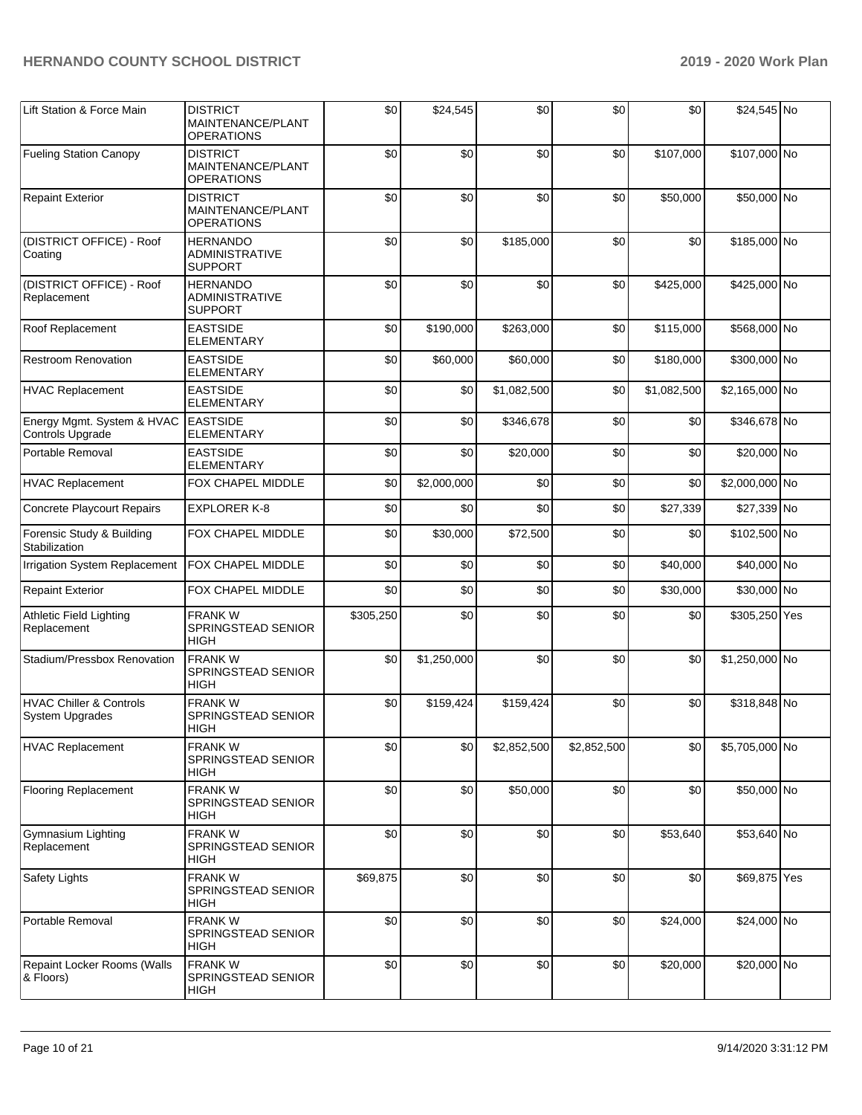| Lift Station & Force Main                             | <b>DISTRICT</b><br>MAINTENANCE/PLANT<br><b>OPERATIONS</b>  | \$0       | \$24,545    | \$0         | \$0         | \$0         | \$24,545 No    |  |
|-------------------------------------------------------|------------------------------------------------------------|-----------|-------------|-------------|-------------|-------------|----------------|--|
| <b>Fueling Station Canopy</b>                         | <b>DISTRICT</b><br>MAINTENANCE/PLANT<br><b>OPERATIONS</b>  | \$0       | \$0         | \$0         | \$0         | \$107,000   | \$107,000 No   |  |
| <b>Repaint Exterior</b>                               | <b>DISTRICT</b><br>MAINTENANCE/PLANT<br><b>OPERATIONS</b>  | \$0       | \$0         | \$0         | \$0         | \$50,000    | \$50,000 No    |  |
| (DISTRICT OFFICE) - Roof<br>Coating                   | <b>HERNANDO</b><br><b>ADMINISTRATIVE</b><br><b>SUPPORT</b> | \$0       | \$0         | \$185,000   | \$0         | \$0         | \$185,000 No   |  |
| (DISTRICT OFFICE) - Roof<br>Replacement               | <b>HERNANDO</b><br><b>ADMINISTRATIVE</b><br><b>SUPPORT</b> | \$0       | \$0         | \$0         | \$0         | \$425,000   | \$425,000 No   |  |
| Roof Replacement                                      | <b>EASTSIDE</b><br><b>ELEMENTARY</b>                       | \$0       | \$190,000   | \$263,000   | \$0         | \$115,000   | \$568,000 No   |  |
| <b>Restroom Renovation</b>                            | <b>EASTSIDE</b><br><b>ELEMENTARY</b>                       | \$0       | \$60,000    | \$60,000    | \$0         | \$180,000   | \$300,000 No   |  |
| <b>HVAC Replacement</b>                               | <b>EASTSIDE</b><br><b>ELEMENTARY</b>                       | \$0       | \$0         | \$1,082,500 | \$0         | \$1,082,500 | \$2,165,000 No |  |
| Energy Mgmt. System & HVAC<br>Controls Upgrade        | <b>EASTSIDE</b><br><b>ELEMENTARY</b>                       | \$0       | \$0         | \$346,678   | \$0         | \$0         | \$346,678 No   |  |
| Portable Removal                                      | <b>EASTSIDE</b><br>ELEMENTARY                              | \$0       | \$0         | \$20,000    | \$0         | \$0         | \$20,000 No    |  |
| <b>HVAC Replacement</b>                               | FOX CHAPEL MIDDLE                                          | \$0       | \$2,000,000 | \$0         | \$0         | \$0         | \$2,000,000 No |  |
| <b>Concrete Playcourt Repairs</b>                     | <b>EXPLORER K-8</b>                                        | \$0       | \$0         | \$0         | \$0         | \$27,339    | \$27,339 No    |  |
| Forensic Study & Building<br>Stabilization            | FOX CHAPEL MIDDLE                                          | \$0       | \$30,000    | \$72,500    | \$0         | \$0         | \$102,500 No   |  |
| Irrigation System Replacement                         | FOX CHAPEL MIDDLE                                          | \$0       | \$0         | \$0         | \$0         | \$40,000    | \$40,000 No    |  |
| <b>Repaint Exterior</b>                               | FOX CHAPEL MIDDLE                                          | \$0       | \$0         | \$0         | \$0         | \$30,000    | \$30,000 No    |  |
| <b>Athletic Field Lighting</b><br>Replacement         | <b>FRANK W</b><br>SPRINGSTEAD SENIOR<br>HIGH               | \$305,250 | \$0         | \$0         | \$0         | \$0         | \$305,250 Yes  |  |
| Stadium/Pressbox Renovation                           | <b>FRANKW</b><br>SPRINGSTEAD SENIOR<br>HIGH                | \$0       | \$1,250,000 | \$0         | \$0         | \$0         | \$1,250,000 No |  |
| <b>HVAC Chiller &amp; Controls</b><br>System Upgrades | <b>FRANKW</b><br>SPRINGSTEAD SENIOR<br><b>HIGH</b>         | \$0       | \$159,424   | \$159,424   | \$0         | \$0         | \$318,848 No   |  |
| <b>HVAC Replacement</b>                               | FRANK W<br>SPRINGSTEAD SENIOR<br>HIGH                      | \$0       | \$0         | \$2,852,500 | \$2,852,500 | \$0         | \$5,705,000 No |  |
| <b>Flooring Replacement</b>                           | <b>FRANKW</b><br>SPRINGSTEAD SENIOR<br>HIGH                | \$0       | \$0         | \$50,000    | \$0         | \$0         | \$50,000 No    |  |
| Gymnasium Lighting<br>Replacement                     | <b>FRANKW</b><br>SPRINGSTEAD SENIOR<br>HIGH                | \$0       | \$0         | \$0         | \$0         | \$53,640    | \$53,640 No    |  |
| Safety Lights                                         | <b>FRANK W</b><br>SPRINGSTEAD SENIOR<br><b>HIGH</b>        | \$69,875  | \$0         | \$0         | \$0         | \$0         | \$69,875 Yes   |  |
| Portable Removal                                      | FRANK W<br>SPRINGSTEAD SENIOR<br>HIGH                      | \$0       | \$0         | \$0         | \$0         | \$24,000    | \$24,000 No    |  |
| Repaint Locker Rooms (Walls<br>& Floors)              | <b>FRANKW</b><br>SPRINGSTEAD SENIOR<br><b>HIGH</b>         | \$0       | \$0         | \$0         | \$0         | \$20,000    | \$20,000 No    |  |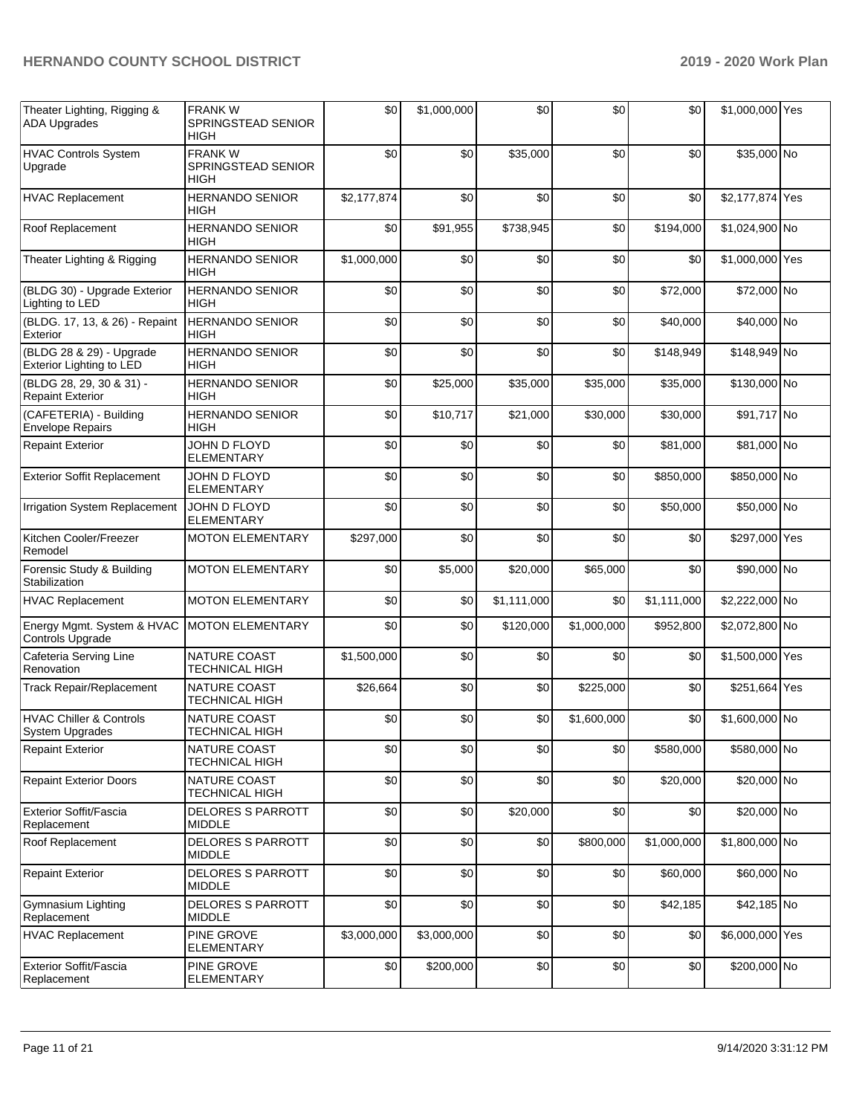| Theater Lighting, Rigging &<br><b>ADA Upgrades</b>          | <b>FRANKW</b><br>SPRINGSTEAD SENIOR<br><b>HIGH</b> | \$0         | \$1,000,000 | \$0         | \$0         | \$0         | \$1,000,000 Yes |     |
|-------------------------------------------------------------|----------------------------------------------------|-------------|-------------|-------------|-------------|-------------|-----------------|-----|
| <b>HVAC Controls System</b><br>Upgrade                      | <b>FRANKW</b><br>SPRINGSTEAD SENIOR<br>HIGH        | \$0         | \$0         | \$35,000    | \$0         | \$0         | \$35,000 No     |     |
| <b>HVAC Replacement</b>                                     | <b>HERNANDO SENIOR</b><br>HIGH                     | \$2,177,874 | \$0         | \$0         | \$0         | \$0         | \$2,177,874 Yes |     |
| Roof Replacement                                            | <b>HERNANDO SENIOR</b><br><b>HIGH</b>              | \$0         | \$91,955    | \$738,945   | \$0         | \$194,000   | \$1,024,900 No  |     |
| Theater Lighting & Rigging                                  | <b>HERNANDO SENIOR</b><br><b>HIGH</b>              | \$1,000,000 | \$0         | \$0         | \$0         | \$0         | \$1,000,000 Yes |     |
| (BLDG 30) - Upgrade Exterior<br>Lighting to LED             | <b>HERNANDO SENIOR</b><br><b>HIGH</b>              | \$0         | \$0         | \$0         | \$0         | \$72,000    | \$72,000 No     |     |
| (BLDG. 17, 13, & 26) - Repaint<br>Exterior                  | <b>HERNANDO SENIOR</b><br><b>HIGH</b>              | \$0         | \$0         | \$0         | \$0         | \$40,000    | \$40,000 No     |     |
| (BLDG 28 & 29) - Upgrade<br><b>Exterior Lighting to LED</b> | <b>HERNANDO SENIOR</b><br>HIGH                     | \$0         | \$0         | \$0         | \$0         | \$148,949   | \$148,949 No    |     |
| (BLDG 28, 29, 30 & 31) -<br><b>Repaint Exterior</b>         | <b>HERNANDO SENIOR</b><br>HIGH                     | \$0         | \$25,000    | \$35,000    | \$35,000    | \$35,000    | \$130,000 No    |     |
| (CAFETERIA) - Building<br><b>Envelope Repairs</b>           | <b>HERNANDO SENIOR</b><br><b>HIGH</b>              | \$0         | \$10,717    | \$21,000    | \$30,000    | \$30,000    | \$91,717 No     |     |
| <b>Repaint Exterior</b>                                     | JOHN D FLOYD<br><b>ELEMENTARY</b>                  | \$0         | \$0         | \$0         | \$0         | \$81,000    | \$81,000 No     |     |
| <b>Exterior Soffit Replacement</b>                          | JOHN D FLOYD<br><b>ELEMENTARY</b>                  | \$0         | \$0         | \$0         | \$0         | \$850,000   | \$850,000 No    |     |
| Irrigation System Replacement                               | JOHN D FLOYD<br><b>ELEMENTARY</b>                  | \$0         | \$0         | \$0         | \$0         | \$50,000    | \$50,000 No     |     |
| Kitchen Cooler/Freezer<br>Remodel                           | <b>MOTON ELEMENTARY</b>                            | \$297,000   | \$0         | \$0         | \$0         | \$0         | \$297,000 Yes   |     |
| Forensic Study & Building<br>Stabilization                  | <b>MOTON ELEMENTARY</b>                            | \$0         | \$5,000     | \$20,000    | \$65,000    | \$0         | \$90,000 No     |     |
| <b>HVAC Replacement</b>                                     | <b>MOTON ELEMENTARY</b>                            | \$0         | \$0         | \$1,111,000 | \$0         | \$1,111,000 | \$2,222,000 No  |     |
| Energy Mgmt. System & HVAC<br>Controls Upgrade              | <b>MOTON ELEMENTARY</b>                            | \$0         | \$0         | \$120,000   | \$1,000,000 | \$952,800   | \$2,072,800 No  |     |
| Cafeteria Serving Line<br>Renovation                        | NATURE COAST<br><b>TECHNICAL HIGH</b>              | \$1,500,000 | \$0         | \$0         | \$0         | \$0         | \$1,500,000 Yes |     |
| Track Repair/Replacement                                    | NATURE COAST<br><b>TECHNICAL HIGH</b>              | \$26,664    | \$0         | \$0         | \$225,000   | \$0         | \$251,664       | Yes |
| <b>HVAC Chiller &amp; Controls</b><br>System Upgrades       | NATURE COAST<br><b>TECHNICAL HIGH</b>              | \$0         | \$0         | \$0         | \$1,600,000 | \$0         | \$1,600,000 No  |     |
| <b>Repaint Exterior</b>                                     | NATURE COAST<br><b>TECHNICAL HIGH</b>              | \$0         | \$0         | \$0         | \$0         | \$580,000   | \$580,000 No    |     |
| <b>Repaint Exterior Doors</b>                               | NATURE COAST<br><b>TECHNICAL HIGH</b>              | \$0         | \$0         | \$0         | \$0         | \$20,000    | \$20,000 No     |     |
| Exterior Soffit/Fascia<br>Replacement                       | DELORES S PARROTT<br><b>MIDDLE</b>                 | \$0         | \$0         | \$20,000    | \$0         | \$0         | \$20,000 No     |     |
| Roof Replacement                                            | <b>DELORES S PARROTT</b><br><b>MIDDLE</b>          | \$0         | \$0         | \$0         | \$800,000   | \$1,000,000 | \$1,800,000 No  |     |
| <b>Repaint Exterior</b>                                     | <b>DELORES S PARROTT</b><br>MIDDLE                 | \$0         | \$0         | \$0         | \$0         | \$60,000    | \$60,000 No     |     |
| Gymnasium Lighting<br>Replacement                           | <b>DELORES S PARROTT</b><br><b>MIDDLE</b>          | \$0         | \$0         | \$0         | \$0         | \$42,185    | \$42,185 No     |     |
| <b>HVAC Replacement</b>                                     | PINE GROVE<br>ELEMENTARY                           | \$3,000,000 | \$3,000,000 | \$0         | \$0         | \$0         | \$6,000,000 Yes |     |
| <b>Exterior Soffit/Fascia</b><br>Replacement                | PINE GROVE<br>ELEMENTARY                           | \$0         | \$200,000   | \$0         | \$0         | \$0         | \$200,000 No    |     |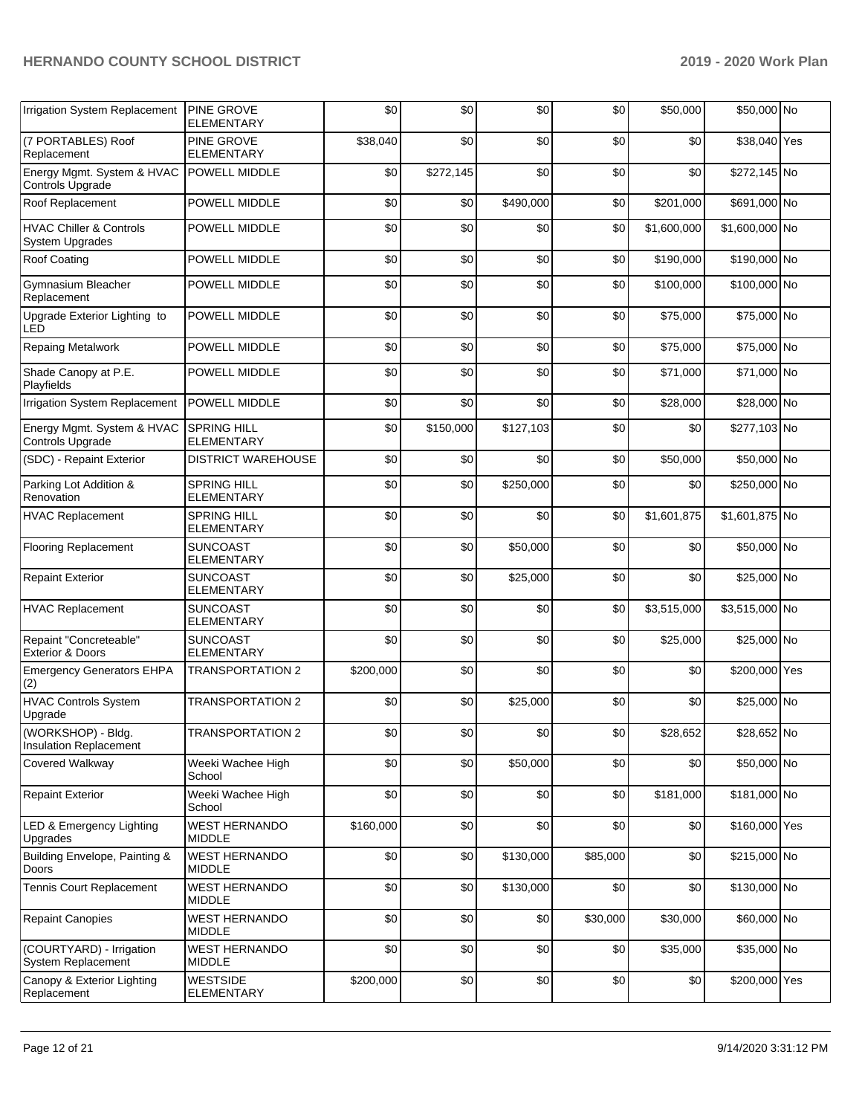| Irrigation System Replacement                         | <b>PINE GROVE</b><br><b>ELEMENTARY</b>  | \$0       | \$0       | \$0       | \$0      | \$50,000    | \$50,000 No    |  |
|-------------------------------------------------------|-----------------------------------------|-----------|-----------|-----------|----------|-------------|----------------|--|
| (7 PORTABLES) Roof<br>Replacement                     | <b>PINE GROVE</b><br><b>ELEMENTARY</b>  | \$38,040  | \$0       | \$0       | \$0      | \$0         | \$38,040 Yes   |  |
| Energy Mgmt. System & HVAC<br>Controls Upgrade        | POWELL MIDDLE                           | \$0       | \$272,145 | \$0       | \$0      | \$0         | \$272,145 No   |  |
| Roof Replacement                                      | POWELL MIDDLE                           | \$0       | \$0       | \$490,000 | \$0      | \$201,000   | \$691,000 No   |  |
| <b>HVAC Chiller &amp; Controls</b><br>System Upgrades | POWELL MIDDLE                           | \$0       | \$0       | \$0       | \$0      | \$1,600,000 | \$1,600,000 No |  |
| Roof Coating                                          | POWELL MIDDLE                           | \$0       | \$0       | \$0       | \$0      | \$190,000   | \$190,000 No   |  |
| Gymnasium Bleacher<br>Replacement                     | POWELL MIDDLE                           | \$0       | \$0       | \$0       | \$0      | \$100,000   | \$100,000 No   |  |
| Upgrade Exterior Lighting to<br>LED                   | POWELL MIDDLE                           | \$0       | \$0       | \$0       | \$0      | \$75,000    | \$75,000 No    |  |
| <b>Repaing Metalwork</b>                              | POWELL MIDDLE                           | \$0       | \$0       | \$0       | \$0      | \$75,000    | \$75,000 No    |  |
| Shade Canopy at P.E.<br>Playfields                    | POWELL MIDDLE                           | \$0       | \$0       | \$0       | \$0      | \$71,000    | \$71,000 No    |  |
| Irrigation System Replacement                         | <b>POWELL MIDDLE</b>                    | \$0       | \$0       | \$0       | \$0      | \$28,000    | \$28,000 No    |  |
| Energy Mgmt. System & HVAC<br>Controls Upgrade        | <b>SPRING HILL</b><br><b>ELEMENTARY</b> | \$0       | \$150,000 | \$127,103 | \$0      | \$0         | \$277,103 No   |  |
| (SDC) - Repaint Exterior                              | DISTRICT WAREHOUSE                      | \$0       | \$0       | \$0       | \$0      | \$50,000    | \$50,000 No    |  |
| Parking Lot Addition &<br>Renovation                  | <b>SPRING HILL</b><br><b>ELEMENTARY</b> | \$0       | \$0       | \$250,000 | \$0      | \$0         | \$250,000 No   |  |
| <b>HVAC Replacement</b>                               | <b>SPRING HILL</b><br>ELEMENTARY        | \$0       | \$0       | \$0       | \$0      | \$1,601,875 | \$1,601,875 No |  |
| <b>Flooring Replacement</b>                           | <b>SUNCOAST</b><br><b>ELEMENTARY</b>    | \$0       | \$0       | \$50,000  | \$0      | \$0         | \$50,000 No    |  |
| <b>Repaint Exterior</b>                               | <b>SUNCOAST</b><br><b>ELEMENTARY</b>    | \$0       | \$0       | \$25,000  | \$0      | \$0         | \$25,000 No    |  |
| <b>HVAC Replacement</b>                               | <b>SUNCOAST</b><br><b>ELEMENTARY</b>    | \$0       | \$0       | \$0       | \$0      | \$3,515,000 | \$3,515,000 No |  |
| Repaint "Concreteable"<br><b>Exterior &amp; Doors</b> | <b>SUNCOAST</b><br><b>ELEMENTARY</b>    | \$0       | \$0       | \$0       | \$0      | \$25,000    | \$25,000 No    |  |
| <b>Emergency Generators EHPA</b><br>(2)               | <b>TRANSPORTATION 2</b>                 | \$200,000 | \$0       | \$0       | \$0      | \$0         | \$200,000 Yes  |  |
| <b>HVAC Controls System</b><br>Upgrade                | <b>TRANSPORTATION 2</b>                 | \$0       | \$0       | \$25,000  | \$0      | \$0         | \$25,000 No    |  |
| (WORKSHOP) - Bldg.<br>Insulation Replacement          | <b>TRANSPORTATION 2</b>                 | \$0       | \$0       | \$0       | \$0      | \$28,652    | \$28,652 No    |  |
| <b>Covered Walkway</b>                                | Weeki Wachee High<br>School             | \$0       | \$0       | \$50,000  | \$0      | \$0         | \$50,000 No    |  |
| <b>Repaint Exterior</b>                               | Weeki Wachee High<br>School             | \$0       | \$0       | \$0       | \$0      | \$181,000   | \$181,000 No   |  |
| LED & Emergency Lighting<br>Upgrades                  | <b>WEST HERNANDO</b><br><b>MIDDLE</b>   | \$160,000 | \$0       | \$0       | \$0      | \$0         | \$160,000 Yes  |  |
| Building Envelope, Painting &<br>Doors                | WEST HERNANDO<br><b>MIDDLE</b>          | \$0       | \$0       | \$130,000 | \$85,000 | \$0         | \$215,000 No   |  |
| <b>Tennis Court Replacement</b>                       | <b>WEST HERNANDO</b><br>MIDDLE          | \$0       | \$0       | \$130,000 | \$0      | \$0         | \$130,000 No   |  |
| <b>Repaint Canopies</b>                               | <b>WEST HERNANDO</b><br><b>MIDDLE</b>   | \$0       | \$0       | \$0       | \$30,000 | \$30,000    | \$60,000 No    |  |
| (COURTYARD) - Irrigation<br>System Replacement        | <b>WEST HERNANDO</b><br><b>MIDDLE</b>   | \$0       | \$0       | \$0       | \$0      | \$35,000    | \$35,000 No    |  |
| Canopy & Exterior Lighting<br>Replacement             | <b>WESTSIDE</b><br>ELEMENTARY           | \$200,000 | \$0       | \$0       | \$0      | \$0         | \$200,000 Yes  |  |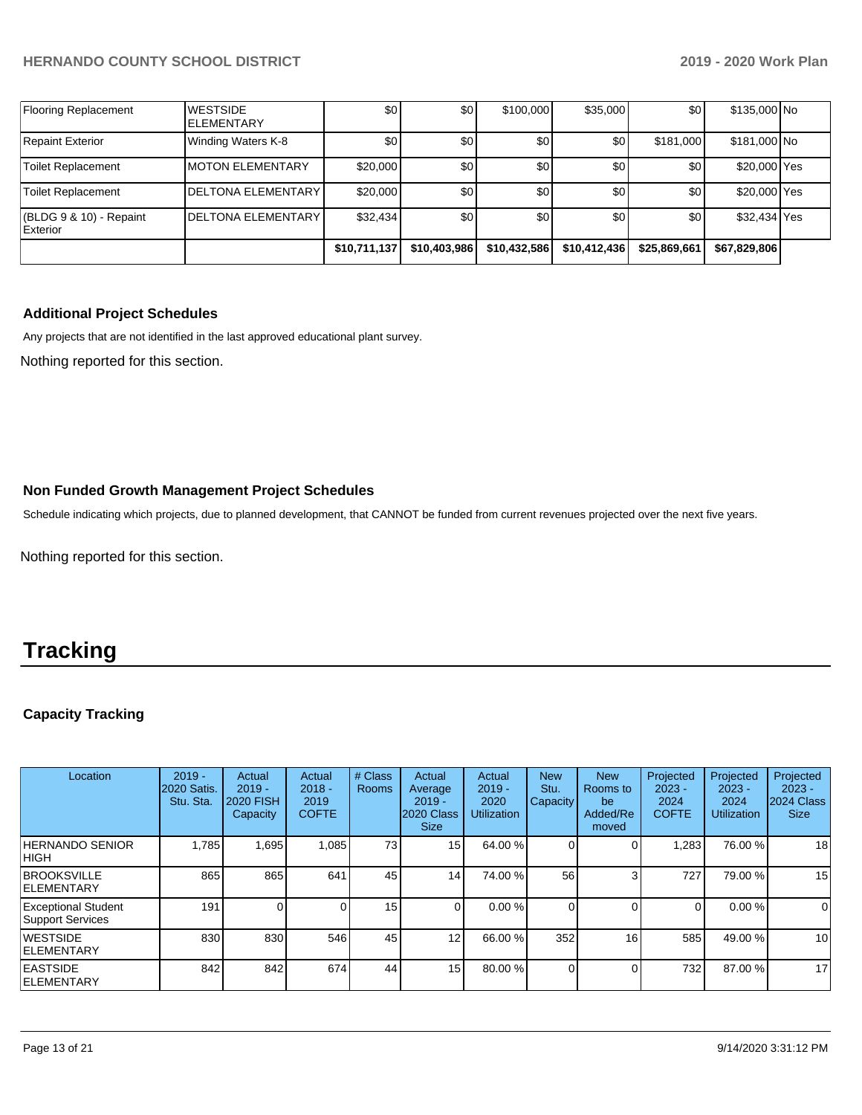|                                            |                                        | \$10,711,137 | \$10,403,986 | \$10,432,586 | \$10,412,436 | \$25,869,661 | \$67,829,806 |  |
|--------------------------------------------|----------------------------------------|--------------|--------------|--------------|--------------|--------------|--------------|--|
| (BLDG 9 & 10) - Repaint<br><b>Exterior</b> | <b>IDELTONA ELEMENTARY</b>             | \$32,434     | \$0          | \$0          | \$0          | \$0          | \$32,434 Yes |  |
| Toilet Replacement                         | <b>DELTONA ELEMENTARY</b>              | \$20,000     | \$0          | \$0          | \$0          | \$0          | \$20,000 Yes |  |
| Toilet Replacement                         | <b>IMOTON ELEMENTARY</b>               | \$20,000     | \$0          | \$0          | \$0          | \$0          | \$20,000 Yes |  |
| Repaint Exterior                           | Winding Waters K-8                     | \$0          | \$0          | \$0          | \$0          | \$181,000    | \$181,000 No |  |
| Flooring Replacement                       | <b>IWESTSIDE</b><br><b>IELEMENTARY</b> | \$0          | \$0          | \$100,000    | \$35,000     | \$0          | \$135,000 No |  |

## **Additional Project Schedules**

Any projects that are not identified in the last approved educational plant survey.

Nothing reported for this section.

### **Non Funded Growth Management Project Schedules**

Schedule indicating which projects, due to planned development, that CANNOT be funded from current revenues projected over the next five years.

Nothing reported for this section.

## **Tracking**

## **Capacity Tracking**

| Location                                              | $2019 -$<br><b>2020 Satis.</b><br>Stu. Sta. | Actual<br>$2019 -$<br><b>2020 FISH</b><br>Capacity | Actual<br>$2018 -$<br>2019<br><b>COFTE</b> | # Class<br>Rooms | Actual<br>Average<br>$2019 -$<br>2020 Class<br><b>Size</b> | Actual<br>$2019 -$<br>2020<br><b>Utilization</b> | <b>New</b><br>Stu.<br>Capacity | <b>New</b><br>Rooms to<br>be<br>Added/Re<br>moved | Projected<br>$2023 -$<br>2024<br><b>COFTE</b> | Projected<br>$2023 -$<br>2024<br><b>Utilization</b> | Projected<br>$2023 -$<br>2024 Class<br><b>Size</b> |
|-------------------------------------------------------|---------------------------------------------|----------------------------------------------------|--------------------------------------------|------------------|------------------------------------------------------------|--------------------------------------------------|--------------------------------|---------------------------------------------------|-----------------------------------------------|-----------------------------------------------------|----------------------------------------------------|
| <b>HERNANDO SENIOR</b><br><b>HIGH</b>                 | .785                                        | 1,695                                              | 1,085                                      | 73               | 15 <sup>1</sup>                                            | 64.00 %                                          |                                |                                                   | ,283                                          | 76.00 %                                             | 18                                                 |
| <b>BROOKSVILLE</b><br>IELEMENTARY                     | 865                                         | 865                                                | 641                                        | 45               | 14 <sub>1</sub>                                            | 74.00 %                                          | 56                             |                                                   | 727                                           | 79.00 %                                             | 15                                                 |
| <b>Exceptional Student</b><br><b>Support Services</b> | 191                                         |                                                    |                                            | 15               | $\overline{0}$                                             | 0.00%                                            |                                |                                                   |                                               | 0.00 %                                              | $\overline{0}$                                     |
| <b>WESTSIDE</b><br>IELEMENTARY                        | 830                                         | 830                                                | 546                                        | 45               | 12 <sub>1</sub>                                            | 66.00 %                                          | 352                            | 16                                                | 585                                           | 49.00 %                                             | 10 <sup>1</sup>                                    |
| <b>EASTSIDE</b><br>IELEMENTARY                        | 842                                         | 842                                                | 674                                        | 44               | 15 <sup>1</sup>                                            | 80.00 %                                          |                                |                                                   | 732                                           | 87.00 %                                             | 17                                                 |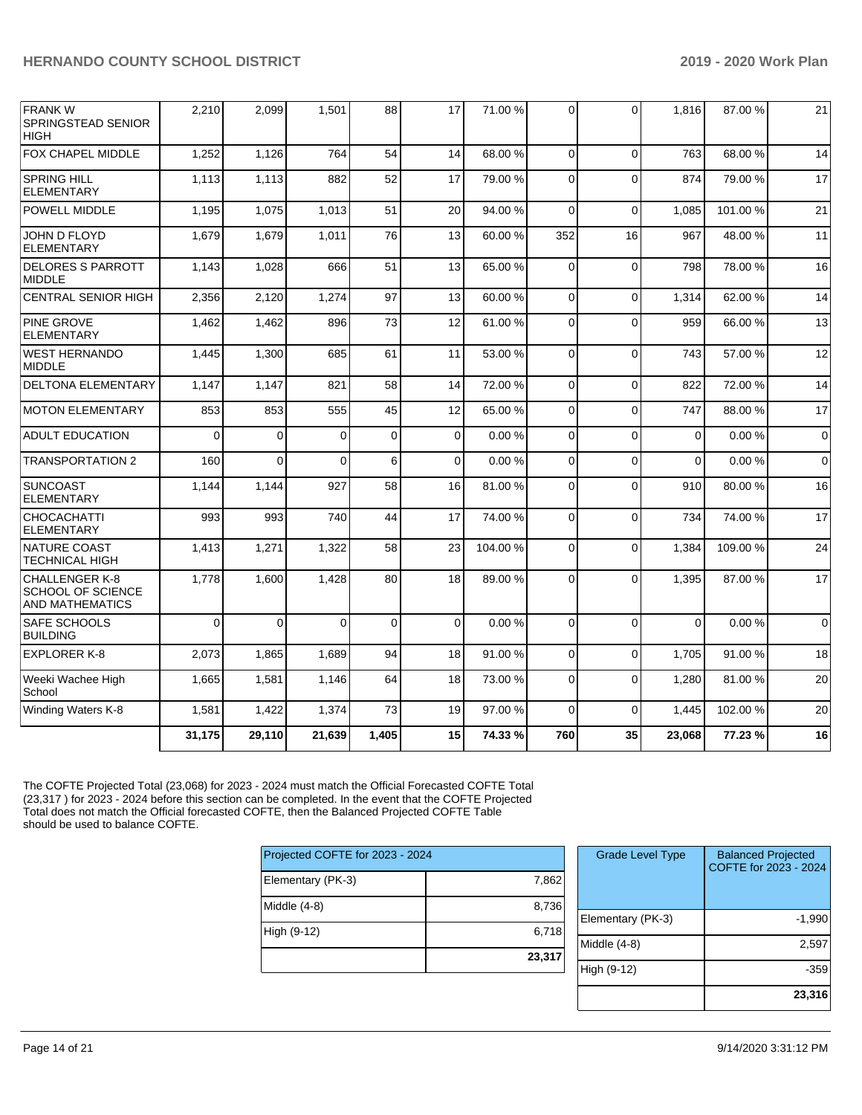| <b>FRANKW</b><br>SPRINGSTEAD SENIOR<br><b>HIGH</b>                   | 2,210    | 2,099          | 1,501    | 88       | 17       | 71.00 % | 0           | $\Omega$    | 1,816       | 87.00 % | 21          |
|----------------------------------------------------------------------|----------|----------------|----------|----------|----------|---------|-------------|-------------|-------------|---------|-------------|
| <b>FOX CHAPEL MIDDLE</b>                                             | 1,252    | 1,126          | 764      | 54       | 14       | 68.00 % | $\Omega$    | $\Omega$    | 763         | 68.00 % | 14          |
| <b>SPRING HILL</b><br><b>ELEMENTARY</b>                              | 1,113    | 1,113          | 882      | 52       | 17       | 79.00 % | $\Omega$    | $\Omega$    | 874         | 79.00 % | 17          |
| POWELL MIDDLE                                                        | 1,195    | 1,075          | 1,013    | 51       | 20       | 94.00%  | $\Omega$    | $\Omega$    | 1.085       | 101.00% | 21          |
| JOHN D FLOYD<br><b>ELEMENTARY</b>                                    | 1,679    | 1,679          | 1,011    | 76       | 13       | 60.00%  | 352         | 16          | 967         | 48.00%  | 11          |
| <b>DELORES S PARROTT</b><br><b>MIDDLE</b>                            | 1,143    | 1,028          | 666      | 51       | 13       | 65.00 % | 0           | $\Omega$    | 798         | 78.00 % | 16          |
| <b>CENTRAL SENIOR HIGH</b>                                           | 2,356    | 2,120          | 1,274    | 97       | 13       | 60.00 % | 0           | $\Omega$    | 1,314       | 62.00 % | 14          |
| <b>PINE GROVE</b><br><b>ELEMENTARY</b>                               | 1,462    | 1,462          | 896      | 73       | 12       | 61.00%  | 0           | $\Omega$    | 959         | 66.00 % | 13          |
| <b>WEST HERNANDO</b><br><b>MIDDLE</b>                                | 1,445    | 1,300          | 685      | 61       | 11       | 53.00 % | $\mathbf 0$ | $\Omega$    | 743         | 57.00 % | 12          |
| <b>DELTONA ELEMENTARY</b>                                            | 1,147    | 1,147          | 821      | 58       | 14       | 72.00 % | $\Omega$    | $\Omega$    | 822         | 72.00 % | 14          |
| <b>MOTON ELEMENTARY</b>                                              | 853      | 853            | 555      | 45       | 12       | 65.00 % | $\Omega$    | $\Omega$    | 747         | 88.00 % | 17          |
| <b>ADULT EDUCATION</b>                                               | $\Omega$ | $\overline{0}$ | $\Omega$ | $\Omega$ | 0        | 0.00%   | $\mathbf 0$ | $\Omega$    | $\mathbf 0$ | 0.00%   | $\mathbf 0$ |
| <b>TRANSPORTATION 2</b>                                              | 160      | $\overline{0}$ | $\Omega$ | 6        | 0        | 0.00%   | $\mathbf 0$ | $\Omega$    | $\Omega$    | 0.00%   | $\Omega$    |
| <b>SUNCOAST</b><br><b>ELEMENTARY</b>                                 | 1,144    | 1,144          | 927      | 58       | 16       | 81.00 % | 0           | $\Omega$    | 910         | 80.00%  | 16          |
| <b>CHOCACHATTI</b><br><b>ELEMENTARY</b>                              | 993      | 993            | 740      | 44       | 17       | 74.00 % | 0           | $\Omega$    | 734         | 74.00 % | 17          |
| NATURE COAST<br><b>TECHNICAL HIGH</b>                                | 1,413    | 1,271          | 1,322    | 58       | 23       | 104.00% | 0           | $\Omega$    | 1,384       | 109.00% | 24          |
| CHALLENGER K-8<br><b>SCHOOL OF SCIENCE</b><br><b>AND MATHEMATICS</b> | 1,778    | 1.600          | 1,428    | 80       | 18       | 89.00 % | $\Omega$    | $\Omega$    | 1.395       | 87.00 % | 17          |
| <b>SAFE SCHOOLS</b><br><b>BUILDING</b>                               | $\Omega$ | $\Omega$       | $\Omega$ | $\Omega$ | $\Omega$ | 0.00%   | $\Omega$    | $\Omega$    | $\Omega$    | 0.00%   | $\Omega$    |
| <b>EXPLORER K-8</b>                                                  | 2,073    | 1,865          | 1,689    | 94       | 18       | 91.00%  | $\mathbf 0$ | $\mathbf 0$ | 1,705       | 91.00 % | 18          |
| Weeki Wachee High<br>School                                          | 1,665    | 1,581          | 1,146    | 64       | 18       | 73.00 % | $\mathbf 0$ | $\Omega$    | 1,280       | 81.00%  | 20          |
| Winding Waters K-8                                                   | 1,581    | 1,422          | 1,374    | 73       | 19       | 97.00 % | $\Omega$    | $\Omega$    | 1,445       | 102.00% | 20          |
|                                                                      | 31,175   | 29,110         | 21,639   | 1,405    | 15       | 74.33 % | 760         | 35          | 23,068      | 77.23 % | 16          |

The COFTE Projected Total (23,068) for 2023 - 2024 must match the Official Forecasted COFTE Total (23,317 ) for 2023 - 2024 before this section can be completed. In the event that the COFTE Projected Total does not match the Official forecasted COFTE, then the Balanced Projected COFTE Table should be used to balance COFTE.

| Projected COFTE for 2023 - 2024 |        |
|---------------------------------|--------|
| Elementary (PK-3)               | 7,862  |
| Middle $(4-8)$                  | 8,736  |
| High (9-12)                     | 6,718  |
|                                 | 23,317 |
|                                 |        |

| <b>Grade Level Type</b> | <b>Balanced Projected</b><br>COFTE for 2023 - 2024 |
|-------------------------|----------------------------------------------------|
| Elementary (PK-3)       | $-1,990$                                           |
| Middle (4-8)            | 2,597                                              |
| High (9-12)             | $-359$                                             |
|                         | 23,316                                             |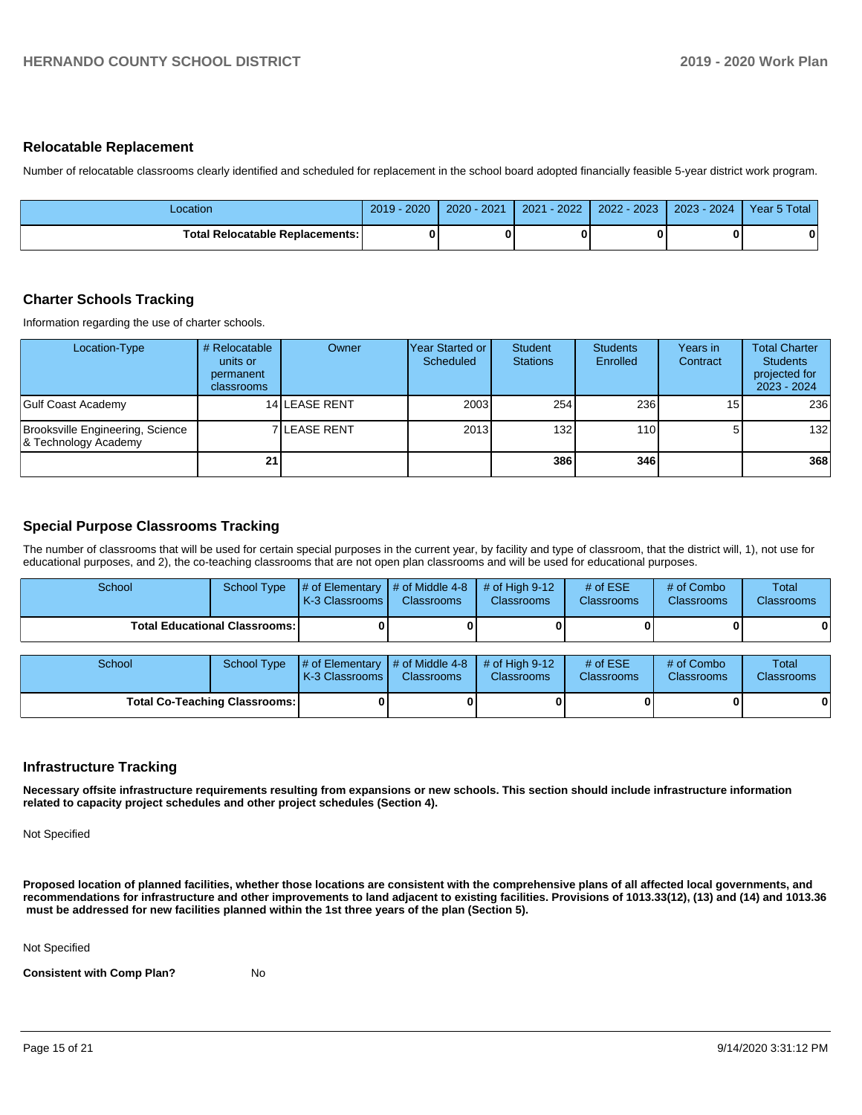#### **Relocatable Replacement**

Number of relocatable classrooms clearly identified and scheduled for replacement in the school board adopted financially feasible 5-year district work program.

| _ocation                          | $-2020$<br>2019 | $2020 - 2021$ | $-2022$<br>2021 | 2022 - 2023 | 2023 - 2024 | Year 5 Total |
|-----------------------------------|-----------------|---------------|-----------------|-------------|-------------|--------------|
| Total Relocatable Replacements: I | O               |               |                 |             |             | 0            |

### **Charter Schools Tracking**

Information regarding the use of charter schools.

| Location-Type                                            | # Relocatable<br>units or<br>permanent<br>classrooms | Owner                | lYear Started or<br>Scheduled | Student<br><b>Stations</b> | <b>Students</b><br>Enrolled | Years in<br>Contract | <b>Total Charter</b><br><b>Students</b><br>projected for<br>2023 - 2024 |
|----------------------------------------------------------|------------------------------------------------------|----------------------|-------------------------------|----------------------------|-----------------------------|----------------------|-------------------------------------------------------------------------|
| Gulf Coast Academy                                       |                                                      | <b>14 LEASE RENT</b> | 2003                          | 254                        | 236                         | 15                   | 236                                                                     |
| Brooksville Engineering, Science<br>& Technology Academy |                                                      | <b>7 ILEASE RENT</b> | 2013                          | 132                        | 110 <sup>1</sup>            | 51                   | 132                                                                     |
|                                                          | 21                                                   |                      |                               | 386                        | 346                         |                      | 368                                                                     |

### **Special Purpose Classrooms Tracking**

The number of classrooms that will be used for certain special purposes in the current year, by facility and type of classroom, that the district will, 1), not use for educational purposes, and 2), the co-teaching classrooms that are not open plan classrooms and will be used for educational purposes.

| School                               | School Type        | # of Elementary<br>K-3 Classrooms | # of Middle 4-8<br><b>Classrooms</b> | # of High $9-12$<br><b>Classrooms</b> | # of $ESE$<br>Classrooms | # of Combo<br><b>Classrooms</b> | Total<br><b>Classrooms</b> |
|--------------------------------------|--------------------|-----------------------------------|--------------------------------------|---------------------------------------|--------------------------|---------------------------------|----------------------------|
| <b>Total Educational Classrooms:</b> |                    |                                   |                                      |                                       |                          |                                 | 0                          |
| School                               | <b>School Type</b> | # of Elementary<br>K-3 Classrooms | # of Middle 4-8<br><b>Classrooms</b> | # of High $9-12$<br><b>Classrooms</b> | # of $ESE$<br>Classrooms | # of Combo<br><b>Classrooms</b> | Total<br><b>Classrooms</b> |
| <b>Total Co-Teaching Classrooms:</b> |                    |                                   |                                      |                                       |                          |                                 | $\mathbf{0}$               |

#### **Infrastructure Tracking**

**Necessary offsite infrastructure requirements resulting from expansions or new schools. This section should include infrastructure information related to capacity project schedules and other project schedules (Section 4).** 

Not Specified

**Proposed location of planned facilities, whether those locations are consistent with the comprehensive plans of all affected local governments, and recommendations for infrastructure and other improvements to land adjacent to existing facilities. Provisions of 1013.33(12), (13) and (14) and 1013.36 must be addressed for new facilities planned within the 1st three years of the plan (Section 5).** 

Not Specified

**Consistent with Comp Plan?** No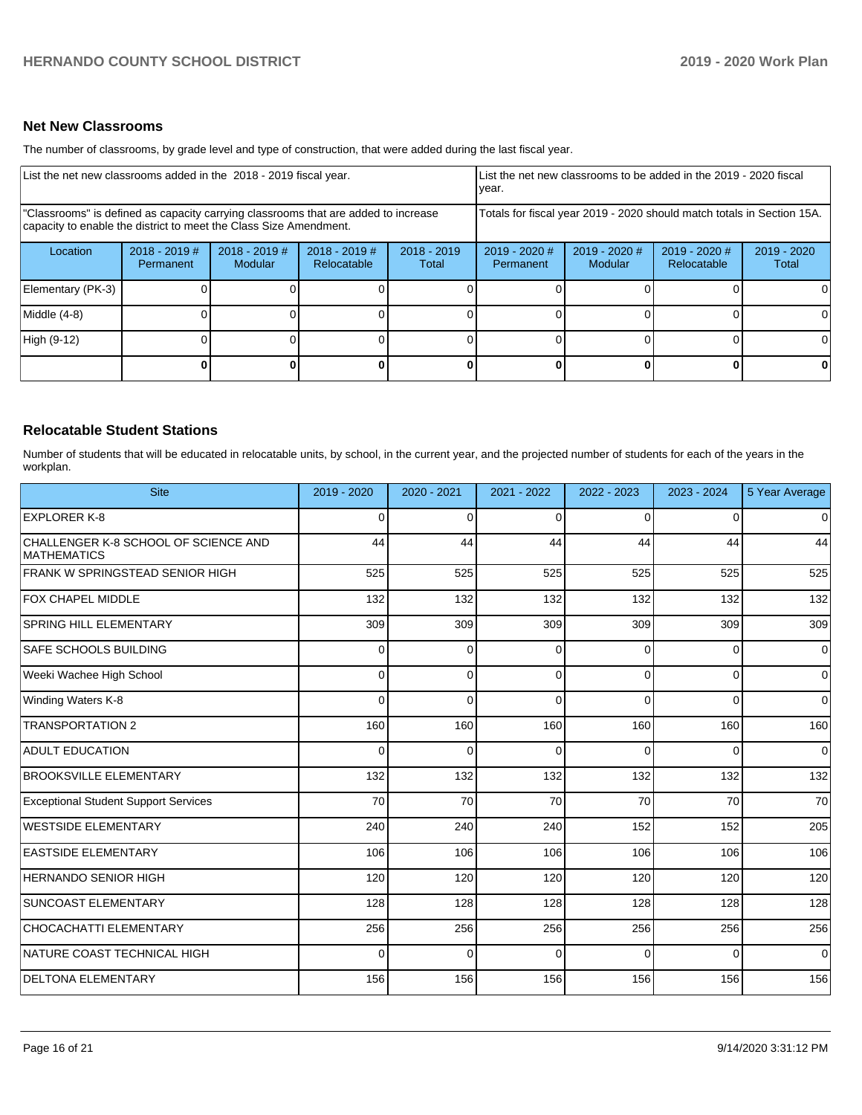### **Net New Classrooms**

The number of classrooms, by grade level and type of construction, that were added during the last fiscal year.

| List the net new classrooms added in the 2018 - 2019 fiscal year.                                                                                       | List the net new classrooms to be added in the 2019 - 2020 fiscal<br>year. |                            |                                |                        |                                                                        |                          |                              |                      |
|---------------------------------------------------------------------------------------------------------------------------------------------------------|----------------------------------------------------------------------------|----------------------------|--------------------------------|------------------------|------------------------------------------------------------------------|--------------------------|------------------------------|----------------------|
| "Classrooms" is defined as capacity carrying classrooms that are added to increase<br>capacity to enable the district to meet the Class Size Amendment. |                                                                            |                            |                                |                        | Totals for fiscal year 2019 - 2020 should match totals in Section 15A. |                          |                              |                      |
| Location                                                                                                                                                | $2018 - 2019$ #<br><b>Permanent</b>                                        | $2018 - 2019$ #<br>Modular | $2018 - 2019$ #<br>Relocatable | $2018 - 2019$<br>Total | $2019 - 2020$ #<br>Permanent                                           | 2019 - 2020 #<br>Modular | 2019 - 2020 #<br>Relocatable | 2019 - 2020<br>Total |
| Elementary (PK-3)                                                                                                                                       |                                                                            |                            |                                |                        |                                                                        |                          |                              |                      |
| Middle (4-8)                                                                                                                                            |                                                                            |                            |                                |                        |                                                                        |                          |                              |                      |
| High (9-12)                                                                                                                                             |                                                                            |                            |                                |                        |                                                                        |                          |                              |                      |
|                                                                                                                                                         |                                                                            |                            |                                | $\Omega$               |                                                                        |                          | $\Omega$                     | 0                    |

## **Relocatable Student Stations**

Number of students that will be educated in relocatable units, by school, in the current year, and the projected number of students for each of the years in the workplan.

| <b>Site</b>                                                | 2019 - 2020 | 2020 - 2021 | 2021 - 2022 | 2022 - 2023 | 2023 - 2024 | 5 Year Average |
|------------------------------------------------------------|-------------|-------------|-------------|-------------|-------------|----------------|
| <b>EXPLORER K-8</b>                                        | $\Omega$    | $\Omega$    | $\Omega$    | $\Omega$    | $\Omega$    | $\Omega$       |
| CHALLENGER K-8 SCHOOL OF SCIENCE AND<br><b>MATHEMATICS</b> | 44          | 44          | 44          | 44          | 44          | 44             |
| FRANK W SPRINGSTEAD SENIOR HIGH                            | 525         | 525         | 525         | 525         | 525         | 525            |
| FOX CHAPEL MIDDLE                                          | 132         | 132         | 132         | 132         | 132         | 132            |
| <b>SPRING HILL ELEMENTARY</b>                              | 309         | 309         | 309         | 309         | 309         | 309            |
| <b>SAFE SCHOOLS BUILDING</b>                               | 0           | $\Omega$    | O           | $\Omega$    | 0           | $\Omega$       |
| Weeki Wachee High School                                   | $\Omega$    | $\Omega$    | 0           | $\Omega$    | $\Omega$    | $\Omega$       |
| Winding Waters K-8                                         | 0           | $\Omega$    | $\Omega$    | $\Omega$    | $\Omega$    | 0              |
| <b>TRANSPORTATION 2</b>                                    | 160         | 160         | 160         | 160         | 160         | 160            |
| <b>ADULT EDUCATION</b>                                     | $\Omega$    | $\Omega$    | U           | $\Omega$    | $\Omega$    | $\Omega$       |
| <b>BROOKSVILLE ELEMENTARY</b>                              | 132         | 132         | 132         | 132         | 132         | 132            |
| <b>Exceptional Student Support Services</b>                | 70          | 70          | 70          | 70          | 70          | 70             |
| <b>WESTSIDE ELEMENTARY</b>                                 | 240         | 240         | 240         | 152         | 152         | 205            |
| <b>EASTSIDE ELEMENTARY</b>                                 | 106         | 106         | 106         | 106         | 106         | 106            |
| <b>HERNANDO SENIOR HIGH</b>                                | 120         | 120         | 120         | 120         | 120         | 120            |
| <b>SUNCOAST ELEMENTARY</b>                                 | 128         | 128         | 128         | 128         | 128         | 128            |
| CHOCACHATTI ELEMENTARY                                     | 256         | 256         | 256         | 256         | 256         | 256            |
| NATURE COAST TECHNICAL HIGH                                | 0           | $\Omega$    | 0           | $\Omega$    | $\Omega$    | $\Omega$       |
| <b>DELTONA ELEMENTARY</b>                                  | 156         | 156         | 156         | 156         | 156         | 156            |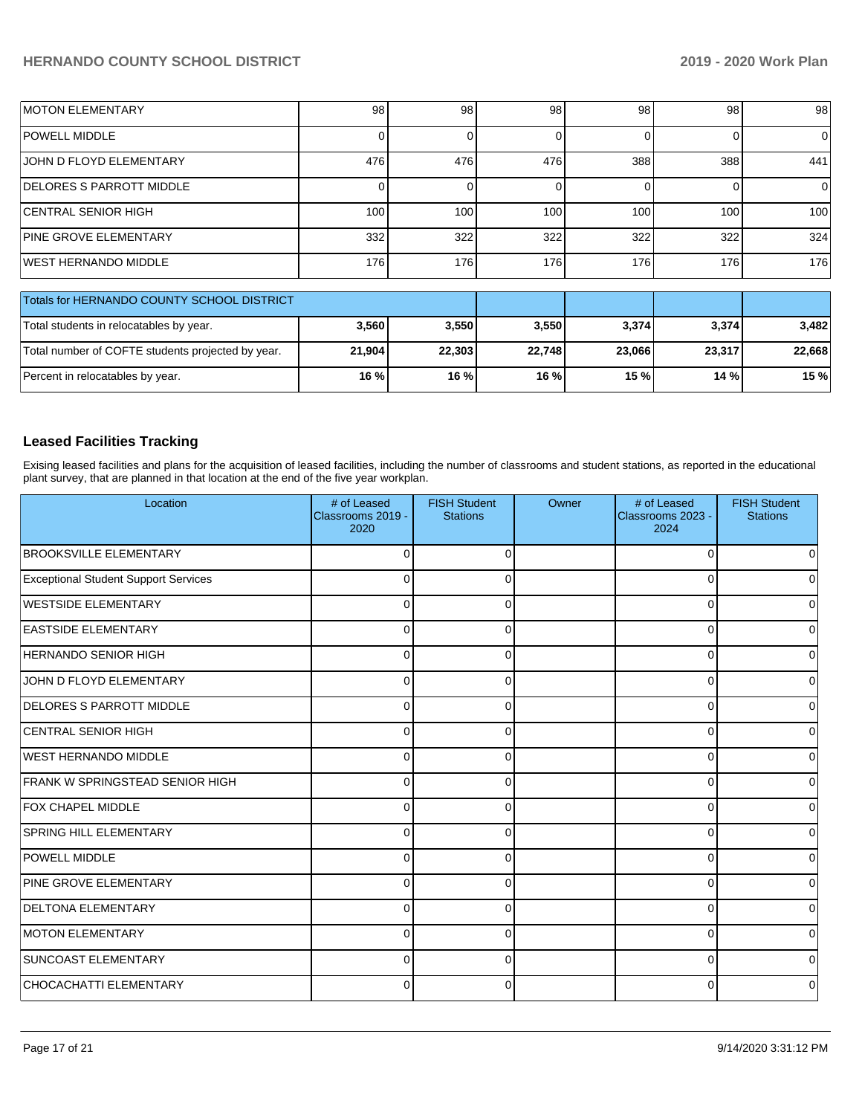| <b>IMOTON ELEMENTARY</b>                   | 98  | 98  | 98  | 98  | 98  | 98       |
|--------------------------------------------|-----|-----|-----|-----|-----|----------|
| <b>POWELL MIDDLE</b>                       |     |     |     |     |     | $\Omega$ |
| <b>JOHN D FLOYD ELEMENTARY</b>             | 476 | 476 | 476 | 388 | 388 | 441      |
| <b>IDELORES S PARROTT MIDDLE</b>           |     |     |     |     |     | 0        |
| <b>CENTRAL SENIOR HIGH</b>                 | 100 | 100 | 100 | 100 | 100 | 100      |
| <b>PINE GROVE ELEMENTARY</b>               | 332 | 322 | 322 | 322 | 322 | 324      |
| <b>IWEST HERNANDO MIDDLE</b>               | 176 | 176 | 176 | 176 | 176 | 176      |
|                                            |     |     |     |     |     |          |
| Totals for HERNANDO COUNTY SCHOOL DISTRICT |     |     |     |     |     |          |

| LIUMS IUL HERIVAIVUU COUNTIT SCHOOL DISTRICT      |        |         |        |        |        |        |
|---------------------------------------------------|--------|---------|--------|--------|--------|--------|
| Total students in relocatables by year.           | 3,560  | 3.550   | 3,550  | 3,374  | 3,374  | 3.482  |
| Total number of COFTE students projected by year. | 21,904 | 22.303  | 22.748 | 23.066 | 23.317 | 22.668 |
| Percent in relocatables by year.                  | 16 %   | $16 \%$ | 16 %   | 15 %   | 14%    | 15 %   |

## **Leased Facilities Tracking**

Exising leased facilities and plans for the acquisition of leased facilities, including the number of classrooms and student stations, as reported in the educational plant survey, that are planned in that location at the end of the five year workplan.

| Location                                    | # of Leased<br>Classrooms 2019 -<br>2020 | <b>FISH Student</b><br><b>Stations</b> | Owner | # of Leased<br>Classrooms 2023 -<br>2024 | <b>FISH Student</b><br><b>Stations</b> |
|---------------------------------------------|------------------------------------------|----------------------------------------|-------|------------------------------------------|----------------------------------------|
| <b>BROOKSVILLE ELEMENTARY</b>               | $\Omega$                                 | 0                                      |       | $\mathbf 0$                              |                                        |
| <b>Exceptional Student Support Services</b> | 0                                        | 0                                      |       | $\Omega$                                 |                                        |
| WESTSIDE ELEMENTARY                         | $\Omega$                                 | U                                      |       | 0                                        |                                        |
| <b>EASTSIDE ELEMENTARY</b>                  | $\Omega$                                 | 0                                      |       | $\Omega$                                 |                                        |
| <b>HERNANDO SENIOR HIGH</b>                 | $\Omega$                                 | O                                      |       | $\Omega$                                 |                                        |
| JOHN D FLOYD ELEMENTARY                     | $\Omega$                                 | O                                      |       | $\Omega$                                 |                                        |
| <b>DELORES S PARROTT MIDDLE</b>             | $\Omega$                                 |                                        |       | 0                                        |                                        |
| <b>CENTRAL SENIOR HIGH</b>                  | $\Omega$                                 | $\Omega$                               |       | 0                                        |                                        |
| <b>WEST HERNANDO MIDDLE</b>                 | $\Omega$                                 | $\Omega$                               |       | 0                                        |                                        |
| FRANK W SPRINGSTEAD SENIOR HIGH             | $\Omega$                                 | $\Omega$                               |       | 0                                        |                                        |
| <b>FOX CHAPEL MIDDLE</b>                    | $\Omega$                                 | $\Omega$                               |       | $\mathbf 0$                              | U                                      |
| <b>SPRING HILL ELEMENTARY</b>               | $\Omega$                                 | 0                                      |       | 0                                        | ი                                      |
| <b>POWELL MIDDLE</b>                        | $\Omega$                                 | 0                                      |       | 0                                        | U                                      |
| PINE GROVE ELEMENTARY                       | 0                                        | ∩                                      |       | 0                                        |                                        |
| <b>DELTONA ELEMENTARY</b>                   | $\Omega$                                 |                                        |       | $\Omega$                                 |                                        |
| <b>MOTON ELEMENTARY</b>                     | $\Omega$                                 | ∩                                      |       | $\Omega$                                 |                                        |
| SUNCOAST ELEMENTARY                         | $\Omega$                                 | $\Omega$                               |       | $\Omega$                                 |                                        |
| CHOCACHATTI ELEMENTARY                      | $\Omega$                                 | 0                                      |       | $\Omega$                                 |                                        |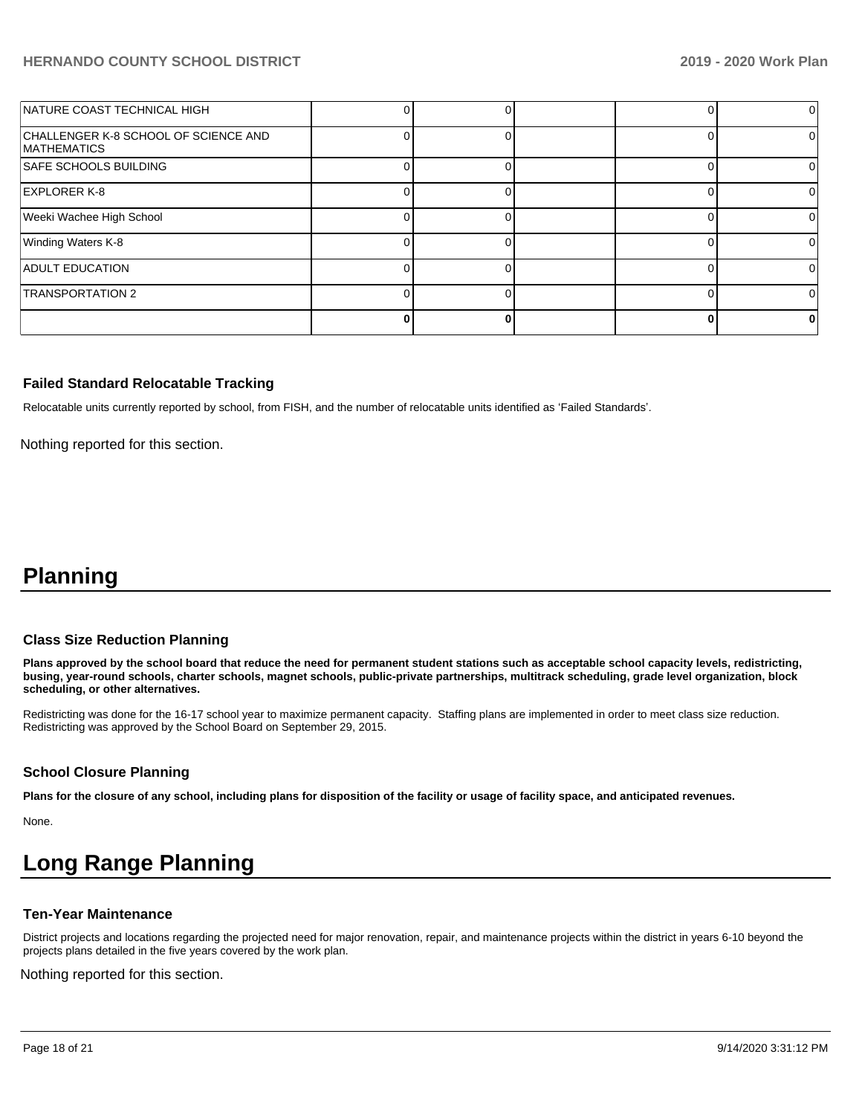| NATURE COAST TECHNICAL HIGH                                |  |  | $\Omega$ |
|------------------------------------------------------------|--|--|----------|
| CHALLENGER K-8 SCHOOL OF SCIENCE AND<br><b>MATHEMATICS</b> |  |  |          |
| <b>SAFE SCHOOLS BUILDING</b>                               |  |  |          |
| <b>EXPLORER K-8</b>                                        |  |  |          |
| Weeki Wachee High School                                   |  |  |          |
| Winding Waters K-8                                         |  |  |          |
| <b>ADULT EDUCATION</b>                                     |  |  |          |
| <b>TRANSPORTATION 2</b>                                    |  |  | 0        |
|                                                            |  |  |          |

### **Failed Standard Relocatable Tracking**

Relocatable units currently reported by school, from FISH, and the number of relocatable units identified as 'Failed Standards'.

Nothing reported for this section.

## **Planning**

### **Class Size Reduction Planning**

**Plans approved by the school board that reduce the need for permanent student stations such as acceptable school capacity levels, redistricting, busing, year-round schools, charter schools, magnet schools, public-private partnerships, multitrack scheduling, grade level organization, block scheduling, or other alternatives.**

Redistricting was done for the 16-17 school year to maximize permanent capacity. Staffing plans are implemented in order to meet class size reduction. Redistricting was approved by the School Board on September 29, 2015.

### **School Closure Planning**

**Plans for the closure of any school, including plans for disposition of the facility or usage of facility space, and anticipated revenues.** 

None.

# **Long Range Planning**

### **Ten-Year Maintenance**

District projects and locations regarding the projected need for major renovation, repair, and maintenance projects within the district in years 6-10 beyond the projects plans detailed in the five years covered by the work plan.

Nothing reported for this section.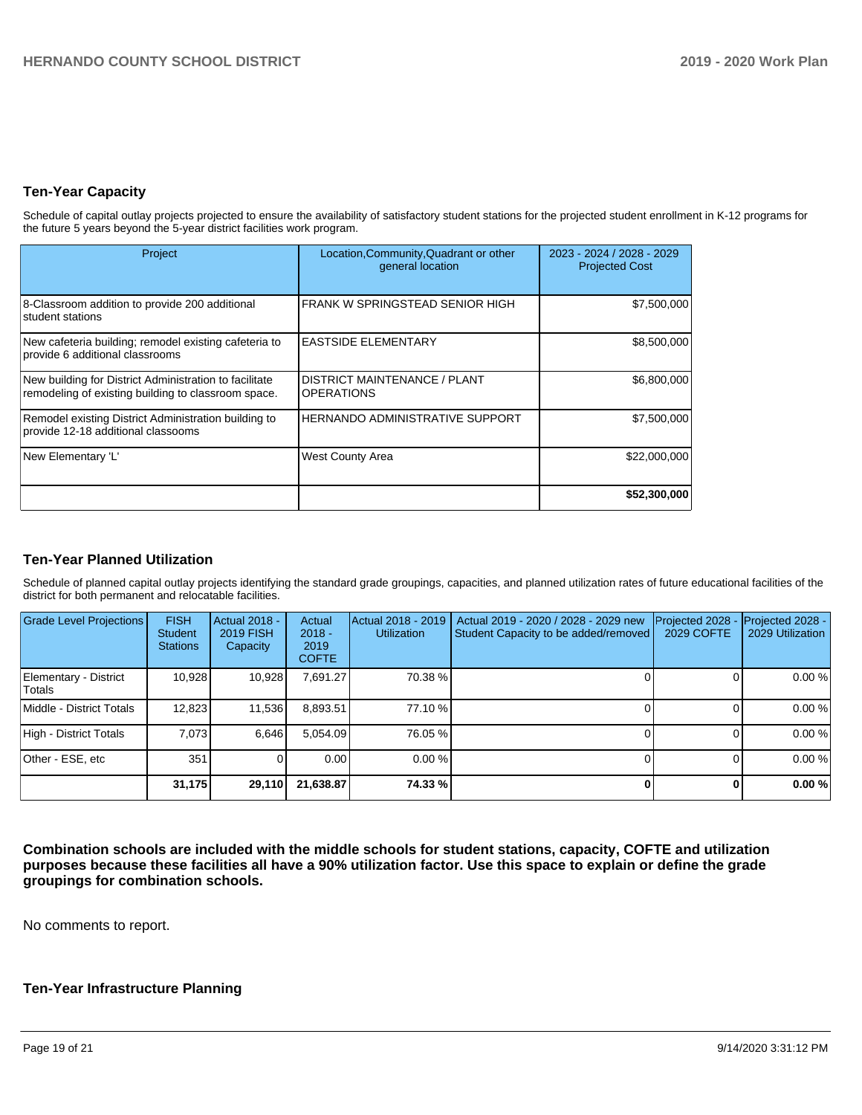## **Ten-Year Capacity**

Schedule of capital outlay projects projected to ensure the availability of satisfactory student stations for the projected student enrollment in K-12 programs for the future 5 years beyond the 5-year district facilities work program.

| Project                                                                                                       | Location, Community, Quadrant or other<br>general location | 2023 - 2024 / 2028 - 2029<br><b>Projected Cost</b> |
|---------------------------------------------------------------------------------------------------------------|------------------------------------------------------------|----------------------------------------------------|
| 8-Classroom addition to provide 200 additional<br>student stations                                            | FRANK W SPRINGSTEAD SENIOR HIGH                            | \$7,500,000                                        |
| New cafeteria building; remodel existing cafeteria to<br>provide 6 additional classrooms                      | <b>EASTSIDE ELEMENTARY</b>                                 | \$8,500,000                                        |
| New building for District Administration to facilitate<br>remodeling of existing building to classroom space. | <b>DISTRICT MAINTENANCE / PLANT</b><br><b>OPERATIONS</b>   | \$6,800,000                                        |
| Remodel existing District Administration building to<br>provide 12-18 additional classooms                    | <b>HERNANDO ADMINISTRATIVE SUPPORT</b>                     | \$7,500,000                                        |
| New Elementary 'L'                                                                                            | <b>West County Area</b>                                    | \$22,000,000                                       |
|                                                                                                               |                                                            | \$52,300,000                                       |

## **Ten-Year Planned Utilization**

Schedule of planned capital outlay projects identifying the standard grade groupings, capacities, and planned utilization rates of future educational facilities of the district for both permanent and relocatable facilities.

| <b>Grade Level Projections</b>   | <b>FISH</b><br><b>Student</b><br><b>Stations</b> | <b>Actual 2018 -</b><br><b>2019 FISH</b><br>Capacity | Actual<br>$2018 -$<br>2019<br><b>COFTE</b> | Actual 2018 - 2019<br><b>Utilization</b> | Actual 2019 - 2020 / 2028 - 2029 new<br>Student Capacity to be added/removed | Projected 2028<br><b>2029 COFTE</b> | Projected 2028 -<br>2029 Utilization |
|----------------------------------|--------------------------------------------------|------------------------------------------------------|--------------------------------------------|------------------------------------------|------------------------------------------------------------------------------|-------------------------------------|--------------------------------------|
| Elementary - District<br> Totals | 10,928                                           | 10,928                                               | 7,691.27                                   | 70.38 %                                  |                                                                              |                                     | 0.00%                                |
| Middle - District Totals         | 12,823                                           | 11,536                                               | 8,893.51                                   | 77.10 %                                  |                                                                              |                                     | 0.00%                                |
| High - District Totals           | 7.073                                            | 6.646                                                | 5.054.09                                   | 76.05 %                                  |                                                                              |                                     | 0.00%                                |
| Other - ESE, etc                 | 351                                              |                                                      | 0.00                                       | 0.00%                                    |                                                                              |                                     | 0.00%                                |
|                                  | 31,175                                           | 29,110                                               | 21,638.87                                  | 74.33 %                                  |                                                                              |                                     | 0.00%                                |

**Combination schools are included with the middle schools for student stations, capacity, COFTE and utilization purposes because these facilities all have a 90% utilization factor. Use this space to explain or define the grade groupings for combination schools.** 

No comments to report.

### **Ten-Year Infrastructure Planning**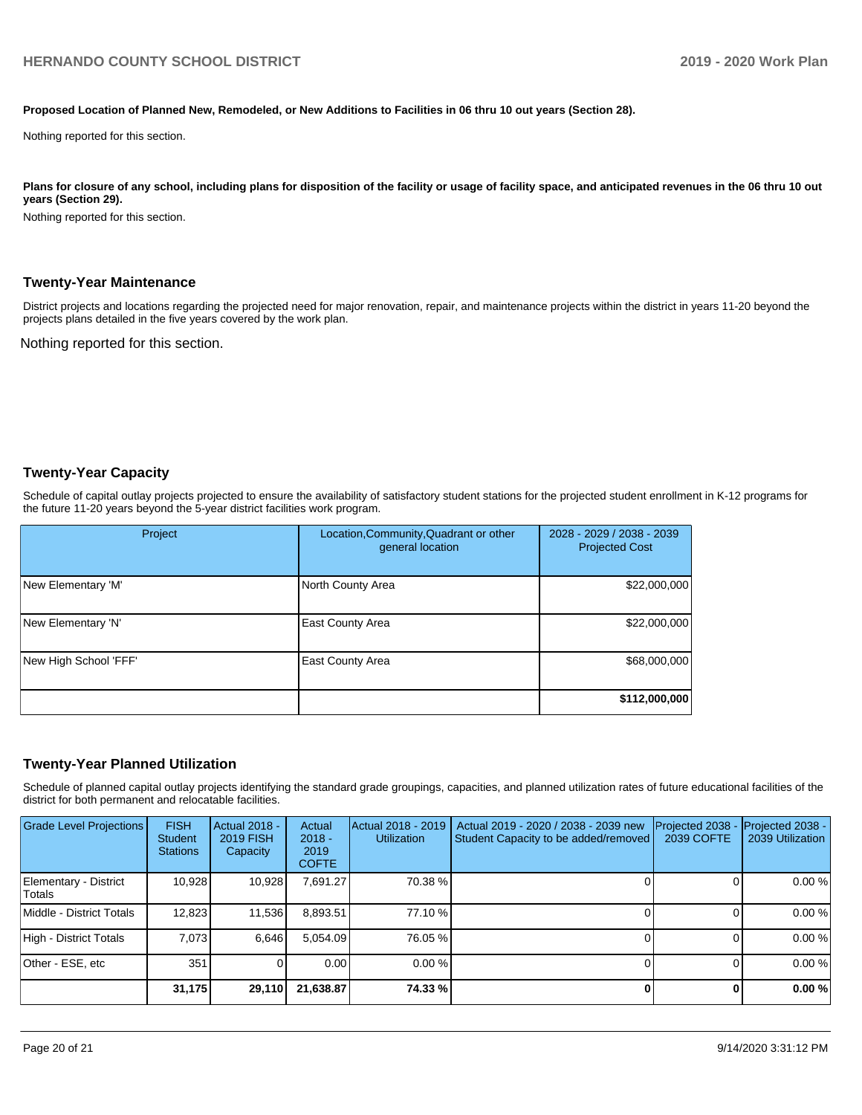#### **Proposed Location of Planned New, Remodeled, or New Additions to Facilities in 06 thru 10 out years (Section 28).**

Nothing reported for this section.

Plans for closure of any school, including plans for disposition of the facility or usage of facility space, and anticipated revenues in the 06 thru 10 out **years (Section 29).**

Nothing reported for this section.

#### **Twenty-Year Maintenance**

District projects and locations regarding the projected need for major renovation, repair, and maintenance projects within the district in years 11-20 beyond the projects plans detailed in the five years covered by the work plan.

Nothing reported for this section.

### **Twenty-Year Capacity**

Schedule of capital outlay projects projected to ensure the availability of satisfactory student stations for the projected student enrollment in K-12 programs for the future 11-20 years beyond the 5-year district facilities work program.

| Project               | Location, Community, Quadrant or other<br>general location | 2028 - 2029 / 2038 - 2039<br><b>Projected Cost</b> |
|-----------------------|------------------------------------------------------------|----------------------------------------------------|
| New Elementary 'M'    | North County Area                                          | \$22,000,000                                       |
| New Elementary 'N'    | <b>East County Area</b>                                    | \$22,000,000                                       |
| New High School 'FFF' | <b>East County Area</b>                                    | \$68,000,000                                       |
|                       |                                                            | \$112,000,000                                      |

### **Twenty-Year Planned Utilization**

Schedule of planned capital outlay projects identifying the standard grade groupings, capacities, and planned utilization rates of future educational facilities of the district for both permanent and relocatable facilities.

| <b>Grade Level Projections</b>  | <b>FISH</b><br><b>Student</b><br><b>Stations</b> | <b>Actual 2018 -</b><br><b>2019 FISH</b><br>Capacity | Actual<br>$2018 -$<br>2019<br><b>COFTE</b> | Actual 2018 - 2019<br><b>Utilization</b> | Actual 2019 - 2020 / 2038 - 2039 new<br>Student Capacity to be added/removed | Projected 2038<br>2039 COFTE | <b>Projected 2038 -</b><br>2039 Utilization |
|---------------------------------|--------------------------------------------------|------------------------------------------------------|--------------------------------------------|------------------------------------------|------------------------------------------------------------------------------|------------------------------|---------------------------------------------|
| Elementary - District<br>Totals | 10,928                                           | 10,928                                               | 7,691.27                                   | 70.38 %                                  |                                                                              |                              | 0.00%                                       |
| Middle - District Totals        | 12,823                                           | 11,536                                               | 8,893.51                                   | 77.10 %                                  |                                                                              |                              | 0.00%                                       |
| High - District Totals          | 7.073                                            | 6.646                                                | 5.054.09                                   | 76.05 %                                  |                                                                              |                              | 0.00%                                       |
| Other - ESE, etc                | 351                                              |                                                      | 0.00                                       | 0.00%                                    |                                                                              |                              | 0.00%                                       |
|                                 | 31,175                                           | 29,110                                               | 21,638.87                                  | 74.33 %                                  |                                                                              |                              | 0.00%                                       |